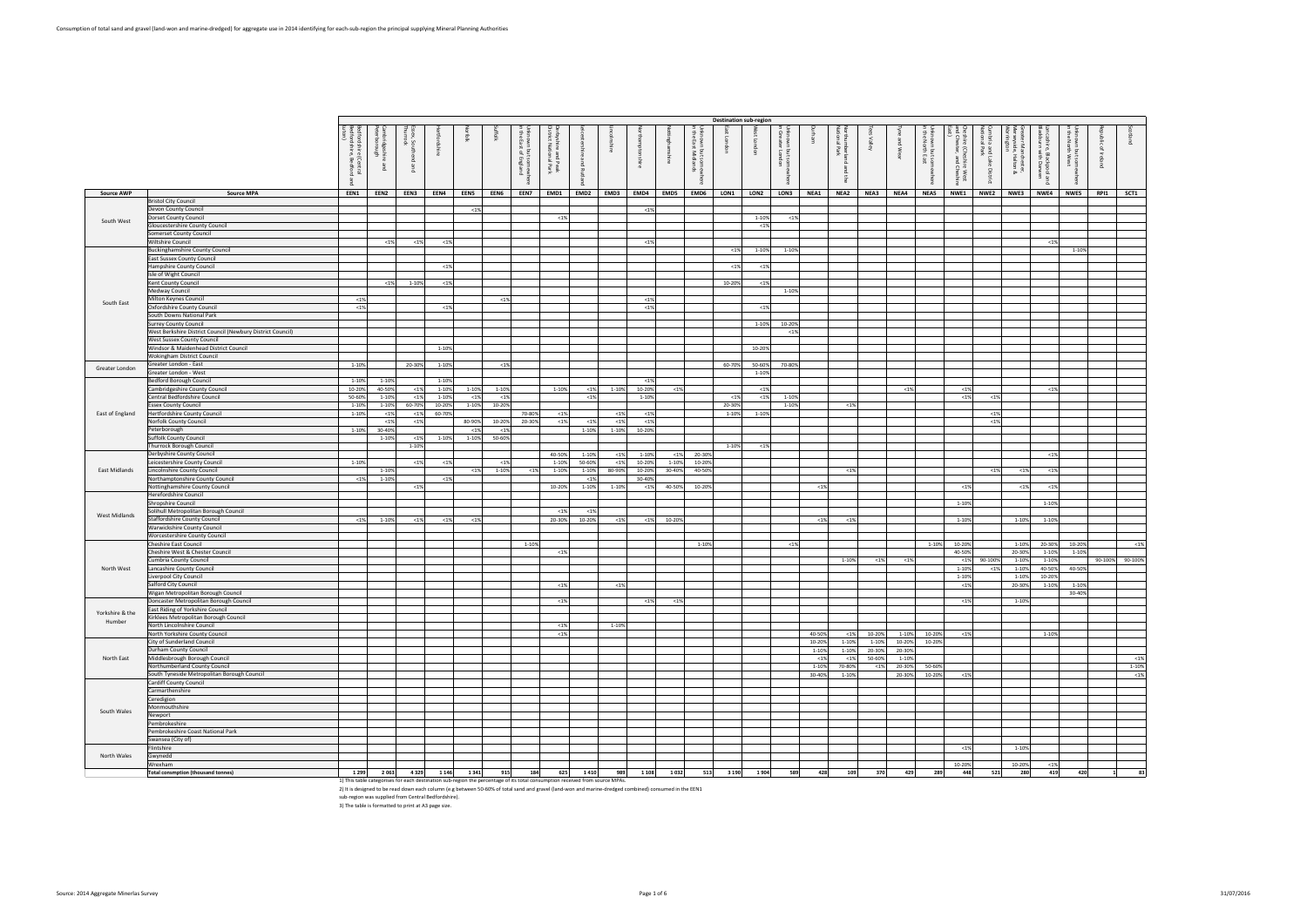|                   |                                                                            | fordshire<br>fordshire,<br>(Central<br>, Bedford | bridgesh<br>Thorough<br>粤<br><sub>D</sub> ue | š₿<br>$26 \times$ |                                                                                                                             | 흦      |         | 중통<br>is ⊠<br>B<br>਼ ਬ<br>ā. | 료 옵<br>등 줄<br>and<br>tion-<br>Peak<br>I Park | ಸ<br><sub>Bue</sub><br>꼰 |              | nshire         | ting   | <b>IKITOWN</b><br>the East<br>but som<br>: Midlan<br>흥 | $\sqrt{2}$      | $\overline{a}$ | nknown<br>Greater<br>ig is |                 | ng<br>Pa      | ্ঞ              | ξ                | 품 를<br>Ne R<br>n but sor<br>nth East | inre<br>Chest<br>e (Cheshire West)<br>ster, and Cheshir | 할 말<br>and Lake<br>I Park<br>District | ∑a ä<br><b>Ichester,</b><br>Halton & | hire,<br>urn<br>, Bla<br>ickpool<br>I Darwe<br>ு | ਤੇ ਏ<br>It som<br>West | $\mathbf{a}$ |                 |
|-------------------|----------------------------------------------------------------------------|--------------------------------------------------|----------------------------------------------|-------------------|-----------------------------------------------------------------------------------------------------------------------------|--------|---------|------------------------------|----------------------------------------------|--------------------------|--------------|----------------|--------|--------------------------------------------------------|-----------------|----------------|----------------------------|-----------------|---------------|-----------------|------------------|--------------------------------------|---------------------------------------------------------|---------------------------------------|--------------------------------------|--------------------------------------------------|------------------------|--------------|-----------------|
| <b>Source AWP</b> | <b>Source MPA</b>                                                          | EEN1                                             | EEN2                                         | EEN3              | EEN4                                                                                                                        | EEN5   | EEN6    | EEN7                         | EMD1                                         | EMD <sub>2</sub>         | EMD3         | EMD4           | EMD5   | EMD6                                                   | LON1            | LON2           | LON3                       | NEA1            | NEA2          | NEA3            | NEA4             | NEA5                                 | NWE1                                                    | NWE2                                  | NWE3                                 | NWE4                                             | <b>NWE5</b>            | RPI1         | SCT1            |
|                   | <b>Bristol City Council</b><br>Devon County Council                        |                                                  |                                              |                   |                                                                                                                             | < 1%   |         |                              |                                              |                          |              | < 1%           |        |                                                        |                 |                |                            |                 |               |                 |                  |                                      |                                                         |                                       |                                      |                                                  |                        |              |                 |
| South West        | Oorset County Council                                                      |                                                  |                                              |                   |                                                                                                                             |        |         |                              | < 1%                                         |                          |              |                |        |                                                        |                 | 1-10%          | $< 1\%$                    |                 |               |                 |                  |                                      |                                                         |                                       |                                      |                                                  |                        |              |                 |
|                   | Gloucestershire County Council                                             |                                                  |                                              |                   |                                                                                                                             |        |         |                              |                                              |                          |              |                |        |                                                        |                 | < 1%           |                            |                 |               |                 |                  |                                      |                                                         |                                       |                                      |                                                  |                        |              |                 |
|                   | Somerset County Council<br>Wiltshire Council                               |                                                  | < 1%                                         | < 1%              | < 1%                                                                                                                        |        |         |                              |                                              |                          |              | < 1%           |        |                                                        |                 |                |                            |                 |               |                 |                  |                                      |                                                         |                                       |                                      | < 1%                                             |                        |              |                 |
|                   | <b>Buckinghamshire County Council</b>                                      |                                                  |                                              |                   |                                                                                                                             |        |         |                              |                                              |                          |              |                |        |                                                        | < 1%            | 1-10%          | 1-10%                      |                 |               |                 |                  |                                      |                                                         |                                       |                                      |                                                  | 1-10%                  |              |                 |
|                   | East Sussex County Council                                                 |                                                  |                                              |                   |                                                                                                                             |        |         |                              |                                              |                          |              |                |        |                                                        |                 |                |                            |                 |               |                 |                  |                                      |                                                         |                                       |                                      |                                                  |                        |              |                 |
|                   | Hampshire County Council<br>Isle of Wight Council                          |                                                  |                                              |                   | < 1%                                                                                                                        |        |         |                              |                                              |                          |              |                |        |                                                        | < 1%            | < 1%           |                            |                 |               |                 |                  |                                      |                                                         |                                       |                                      |                                                  |                        |              |                 |
|                   | Kent County Council                                                        |                                                  | < 1%                                         | 1-10%             | < 1%                                                                                                                        |        |         |                              |                                              |                          |              |                |        |                                                        | 10-20%          | < 1%           |                            |                 |               |                 |                  |                                      |                                                         |                                       |                                      |                                                  |                        |              |                 |
|                   | Medway Council                                                             |                                                  |                                              |                   |                                                                                                                             |        |         |                              |                                              |                          |              |                |        |                                                        |                 |                | 1-10%                      |                 |               |                 |                  |                                      |                                                         |                                       |                                      |                                                  |                        |              |                 |
| South East        | <b>Milton Keynes Council</b>                                               | < 1%<br>< 1%                                     |                                              |                   | < 1%                                                                                                                        |        | < 1%    |                              |                                              |                          |              | < 1%<br>< 1%   |        |                                                        |                 | < 1%           |                            |                 |               |                 |                  |                                      |                                                         |                                       |                                      |                                                  |                        |              |                 |
|                   | Oxfordshire County Council<br>South Downs National Park                    |                                                  |                                              |                   |                                                                                                                             |        |         |                              |                                              |                          |              |                |        |                                                        |                 |                |                            |                 |               |                 |                  |                                      |                                                         |                                       |                                      |                                                  |                        |              |                 |
|                   | <b>Surrey County Council</b>                                               |                                                  |                                              |                   |                                                                                                                             |        |         |                              |                                              |                          |              |                |        |                                                        |                 | 1-10%          | 10-20%                     |                 |               |                 |                  |                                      |                                                         |                                       |                                      |                                                  |                        |              |                 |
|                   | West Berkshire District Council (Newbury District Council)                 |                                                  |                                              |                   |                                                                                                                             |        |         |                              |                                              |                          |              |                |        |                                                        |                 |                | $< 1\%$                    |                 |               |                 |                  |                                      |                                                         |                                       |                                      |                                                  |                        |              |                 |
|                   | <b>West Sussex County Council</b><br>Windsor & Maidenhead District Council |                                                  |                                              |                   | 1-10%                                                                                                                       |        |         |                              |                                              |                          |              |                |        |                                                        |                 | 10-20%         |                            |                 |               |                 |                  |                                      |                                                         |                                       |                                      |                                                  |                        |              |                 |
|                   | Wokingham District Council                                                 |                                                  |                                              |                   |                                                                                                                             |        |         |                              |                                              |                          |              |                |        |                                                        |                 |                |                            |                 |               |                 |                  |                                      |                                                         |                                       |                                      |                                                  |                        |              |                 |
| Greater London    | Greater London - East                                                      | 1-10%                                            |                                              | 20-30%            | 1-10%                                                                                                                       |        | $< 1\%$ |                              |                                              |                          |              |                |        |                                                        | 60-70%          | 50-60%         | 70-80%                     |                 |               |                 |                  |                                      |                                                         |                                       |                                      |                                                  |                        |              |                 |
|                   | Greater London - West<br>Bedford Borough Council                           | 1-10%                                            |                                              |                   | 1-10%                                                                                                                       |        |         |                              |                                              |                          |              | < 1%           |        |                                                        |                 | 1-10%          |                            |                 |               |                 |                  |                                      |                                                         |                                       |                                      |                                                  |                        |              |                 |
|                   | Cambridgeshire County Council                                              | 10-20%                                           | 1-10%<br>40-50%                              | $< 1\%$           | 1-10%                                                                                                                       | 1-10%  | 1-10%   |                              | 1-10%                                        | < 1%                     | 1-10%        | 10-20%         | <1%    |                                                        |                 | < 1%           |                            |                 |               |                 | < 1%             |                                      | < 1%                                                    |                                       |                                      | <1%                                              |                        |              |                 |
|                   | Central Bedfordshire Council                                               | 50-60%                                           | 1-10%                                        | < 1%              | 1-10%                                                                                                                       | < 1%   | $< 1\%$ |                              |                                              | < 1%                     |              | 1-10%          |        |                                                        | < 1%            | < 1%           | 1-10%                      |                 |               |                 |                  |                                      | < 1%                                                    | < 1%                                  |                                      |                                                  |                        |              |                 |
|                   | ssex County Council                                                        | 1-10%<br>1-10%                                   | 1-10%                                        | 60-70%            | 10-20%<br>60-70%                                                                                                            | 1-10%  | 10-20%  |                              |                                              |                          |              |                |        |                                                        | 20-30%<br>1-10% |                | 1-10%                      |                 | < 1%          |                 |                  |                                      |                                                         | < 1%                                  |                                      |                                                  |                        |              |                 |
| East of England   | Hertfordshire County Council<br>Norfolk County Council                     |                                                  | < 1%<br>< 1%                                 | < 1%<br>< 1%      |                                                                                                                             | 80-90% | 10-20%  | 70-80%<br>20-30%             | $19$<br>< 1%                                 | < 1%                     | < 1%<br>< 1% | <1%<br>$< 1\%$ |        |                                                        |                 | 1-10%          |                            |                 |               |                 |                  |                                      |                                                         | < 1%                                  |                                      |                                                  |                        |              |                 |
|                   | Peterborough                                                               | 1-10%                                            | 30-40%                                       |                   |                                                                                                                             | < 1%   | $19$    |                              |                                              | 1-10%                    | 1-10%        | 10-20%         |        |                                                        |                 |                |                            |                 |               |                 |                  |                                      |                                                         |                                       |                                      |                                                  |                        |              |                 |
|                   | Suffolk County Council                                                     |                                                  | 1-10%                                        | < 1%              | 1-10%                                                                                                                       | 1-10%  | 50-60%  |                              |                                              |                          |              |                |        |                                                        |                 |                |                            |                 |               |                 |                  |                                      |                                                         |                                       |                                      |                                                  |                        |              |                 |
|                   | Thurrock Borough Council<br>Derbyshire County Council                      |                                                  |                                              | 1-10%             |                                                                                                                             |        |         |                              | 40-50%                                       | 1-10%                    | < 1%         | 1-10%          | <1%    | 20-30%                                                 | 1-10%           | < 1%           |                            |                 |               |                 |                  |                                      |                                                         |                                       |                                      | < 1%                                             |                        |              |                 |
|                   | Leicestershire County Council                                              | 1-10%                                            |                                              | < 1%              | < 1%                                                                                                                        |        | < 1%    |                              | $1 - 109$                                    | 50-60%                   | < 1%         | 10-20%         | 1-10%  | 10-20%                                                 |                 |                |                            |                 |               |                 |                  |                                      |                                                         |                                       |                                      |                                                  |                        |              |                 |
| East Midlands     | Lincolnshire County Council                                                |                                                  | 1-10%                                        |                   |                                                                                                                             | < 1%   | 1-10%   | < 1%                         | 1-109                                        | 1-10%                    | 80-90%       | 10-20%         | 30-40% | 40-50%                                                 |                 |                |                            |                 | < 1%          |                 |                  |                                      |                                                         | < 1%                                  | < 1%                                 | < 1%                                             |                        |              |                 |
|                   | Northamptonshire County Council<br>Nottinghamshire County Council          | $< 1\%$                                          | 1-10%                                        | < 1%              | < 1%                                                                                                                        |        |         |                              | 10-20%                                       | < 1%<br>1-10%            | 1-10%        | 30-40%<br>< 1% | 40-50% | 10-20%                                                 |                 |                |                            | < 1%            |               |                 |                  |                                      | < 1%                                                    |                                       | < 1%                                 | < 1%                                             |                        |              |                 |
|                   | Herefordshire Council                                                      |                                                  |                                              |                   |                                                                                                                             |        |         |                              |                                              |                          |              |                |        |                                                        |                 |                |                            |                 |               |                 |                  |                                      |                                                         |                                       |                                      |                                                  |                        |              |                 |
|                   | Shropshire Council                                                         |                                                  |                                              |                   |                                                                                                                             |        |         |                              |                                              |                          |              |                |        |                                                        |                 |                |                            |                 |               |                 |                  |                                      | 1-10%                                                   |                                       |                                      | 1-10%                                            |                        |              |                 |
| West Midlands     | Solihull Metropolitan Borough Council<br>Staffordshire County Council      | $< 1\%$                                          | 1-10%                                        | < 1%              | < 1%                                                                                                                        | < 1%   |         |                              | < 1%<br>20-30%                               | < 1%<br>10-20%           | $< 1\%$      | < 1%           | 10-20% |                                                        |                 |                |                            | < 1%            | < 1%          |                 |                  |                                      | 1-10%                                                   |                                       | 1-10%                                | 1-10%                                            |                        |              |                 |
|                   | <b>Warwickshire County Council</b>                                         |                                                  |                                              |                   |                                                                                                                             |        |         |                              |                                              |                          |              |                |        |                                                        |                 |                |                            |                 |               |                 |                  |                                      |                                                         |                                       |                                      |                                                  |                        |              |                 |
|                   | Worcestershire County Council                                              |                                                  |                                              |                   |                                                                                                                             |        |         |                              |                                              |                          |              |                |        |                                                        |                 |                |                            |                 |               |                 |                  |                                      |                                                         |                                       |                                      |                                                  |                        |              |                 |
|                   | Cheshire East Council<br>Cheshire West & Chester Council                   |                                                  |                                              |                   |                                                                                                                             |        |         | 1-10%                        | < 1%                                         |                          |              |                |        | 1-10%                                                  |                 |                | < 1%                       |                 |               |                 |                  | 1-10%                                | 10-209<br>40-509                                        |                                       | 1-10%<br>20-30%                      | 20-30%<br>1-10%                                  | 10-20%<br>1-10%        |              | < 1%            |
|                   | Cumbria County Council                                                     |                                                  |                                              |                   |                                                                                                                             |        |         |                              |                                              |                          |              |                |        |                                                        |                 |                |                            |                 | 1-10%         | < 1%            | < 1%             |                                      | < 1%                                                    | 90-100%                               | 1-10%                                | 1-10%                                            |                        |              | 90-100% 90-100% |
| North West        | Lancashire County Council                                                  |                                                  |                                              |                   |                                                                                                                             |        |         |                              |                                              |                          |              |                |        |                                                        |                 |                |                            |                 |               |                 |                  |                                      | 1-10%                                                   | < 1%                                  | 1-10%                                | 40-50%                                           | 40-50%                 |              |                 |
|                   | Liverpool City Council<br>Salford City Council                             |                                                  |                                              |                   |                                                                                                                             |        |         |                              |                                              |                          |              |                |        |                                                        |                 |                |                            |                 |               |                 |                  |                                      | 1-10%                                                   |                                       | 1-10%                                | 10-20%                                           |                        |              |                 |
|                   | Wigan Metropolitan Borough Council                                         |                                                  |                                              |                   |                                                                                                                             |        |         |                              | < 1%                                         |                          | < 1%         |                |        |                                                        |                 |                |                            |                 |               |                 |                  |                                      | < 1%                                                    |                                       | 20-30%                               | 1-10%                                            | 1-10%<br>30-40%        |              |                 |
|                   | Doncaster Metropolitan Borough Council                                     |                                                  |                                              |                   |                                                                                                                             |        |         |                              | $19$                                         |                          |              | < 1%           | < 1%   |                                                        |                 |                |                            |                 |               |                 |                  |                                      | < 1%                                                    |                                       | 1-10%                                |                                                  |                        |              |                 |
| Yorkshire & the   | East Riding of Yorkshire Council<br>Kirklees Metropolitan Borough Council  |                                                  |                                              |                   |                                                                                                                             |        |         |                              |                                              |                          |              |                |        |                                                        |                 |                |                            |                 |               |                 |                  |                                      |                                                         |                                       |                                      |                                                  |                        |              |                 |
| Humber            | North Lincolnshire Council                                                 |                                                  |                                              |                   |                                                                                                                             |        |         |                              | < 1%                                         |                          | 1-10%        |                |        |                                                        |                 |                |                            |                 |               |                 |                  |                                      |                                                         |                                       |                                      |                                                  |                        |              |                 |
|                   | North Yorkshire County Council                                             |                                                  |                                              |                   |                                                                                                                             |        |         |                              | < 1%                                         |                          |              |                |        |                                                        |                 |                |                            | 40-50%          | < 1%          | 10-20%          | 1-10%            | 10-20%                               | < 1%                                                    |                                       |                                      | 1-10%                                            |                        |              |                 |
|                   | City of Sunderland Council                                                 |                                                  |                                              |                   |                                                                                                                             |        |         |                              |                                              |                          |              |                |        |                                                        |                 |                |                            | 10-20%<br>1-10% | 1-10%         | 1-10%<br>20-30% | 10-20%<br>20-30% | 10-20%                               |                                                         |                                       |                                      |                                                  |                        |              |                 |
| North East        | Durham County Council<br>Middlesbrough Borough Council                     |                                                  |                                              |                   |                                                                                                                             |        |         |                              |                                              |                          |              |                |        |                                                        |                 |                |                            | < 1%            | 1-10%<br>< 1% | 50-60%          | 1-10%            |                                      |                                                         |                                       |                                      |                                                  |                        |              | < 1%            |
|                   | Northumberland County Council                                              |                                                  |                                              |                   |                                                                                                                             |        |         |                              |                                              |                          |              |                |        |                                                        |                 |                |                            | 1-10%           | 70-80%        | < 1%            | 20-30%           | 50-60%                               |                                                         |                                       |                                      |                                                  |                        |              | 1-10%           |
|                   | South Tyneside Metropolitan Borough Council                                |                                                  |                                              |                   |                                                                                                                             |        |         |                              |                                              |                          |              |                |        |                                                        |                 |                |                            | 30-40%          | 1-10%         |                 | 20-30%           | 10-20%                               | < 1%                                                    |                                       |                                      |                                                  |                        |              | < 1%            |
|                   | Cardiff County Council<br>Carmarthenshire                                  |                                                  |                                              |                   |                                                                                                                             |        |         |                              |                                              |                          |              |                |        |                                                        |                 |                |                            |                 |               |                 |                  |                                      |                                                         |                                       |                                      |                                                  |                        |              |                 |
|                   | Ceredigion                                                                 |                                                  |                                              |                   |                                                                                                                             |        |         |                              |                                              |                          |              |                |        |                                                        |                 |                |                            |                 |               |                 |                  |                                      |                                                         |                                       |                                      |                                                  |                        |              |                 |
| South Wales       | Monmouthshire                                                              |                                                  |                                              |                   |                                                                                                                             |        |         |                              |                                              |                          |              |                |        |                                                        |                 |                |                            |                 |               |                 |                  |                                      |                                                         |                                       |                                      |                                                  |                        |              |                 |
|                   | Newport<br>Pembrokeshire                                                   |                                                  |                                              |                   |                                                                                                                             |        |         |                              |                                              |                          |              |                |        |                                                        |                 |                |                            |                 |               |                 |                  |                                      |                                                         |                                       |                                      |                                                  |                        |              |                 |
|                   | Pembrokeshire Coast National Park                                          |                                                  |                                              |                   |                                                                                                                             |        |         |                              |                                              |                          |              |                |        |                                                        |                 |                |                            |                 |               |                 |                  |                                      |                                                         |                                       |                                      |                                                  |                        |              |                 |
|                   | Swansea (City of)                                                          |                                                  |                                              |                   |                                                                                                                             |        |         |                              |                                              |                          |              |                |        |                                                        |                 |                |                            |                 |               |                 |                  |                                      |                                                         |                                       |                                      |                                                  |                        |              |                 |
| North Wales       | Flintshire<br>Gwynedd                                                      |                                                  |                                              |                   |                                                                                                                             |        |         |                              |                                              |                          |              |                |        |                                                        |                 |                |                            |                 |               |                 |                  |                                      | < 1%                                                    |                                       | 1-10%                                |                                                  |                        |              |                 |
|                   | Wrexham                                                                    |                                                  |                                              |                   |                                                                                                                             |        |         |                              |                                              |                          |              |                |        |                                                        |                 |                |                            |                 |               |                 |                  |                                      | 10-20%                                                  |                                       | 10-20%                               | <1%                                              |                        |              |                 |
|                   | <b>Total consmption (thousand tonnes)</b>                                  | 1 2 9 9                                          | 2063                                         | 4329              | 1 1 4 6                                                                                                                     | 1341   | 915     | 184                          | 625                                          | 1410                     | 989          | 1 1 0 8        | 1032   | 513                                                    | 3 1 9 0         | 1904           | 589                        | 428             | 109           | 370             | 429              | 289                                  | 448                                                     | 521                                   | 280                                  | 419                                              | 420                    |              | 83              |
|                   |                                                                            |                                                  |                                              |                   | 1) This table categorises for each destination sub-region the nercentage of its total consumption received from source MPAs |        |         |                              |                                              |                          |              |                |        |                                                        |                 |                |                            |                 |               |                 |                  |                                      |                                                         |                                       |                                      |                                                  |                        |              |                 |

1) This table categorises for each destination sub-region the percentage of its total consumption received from source MPAs.<br>2) It is designed to be read down each column (e.g between 50-60% of total sand and gravel (land-

|      | Unknown but somewhere<br>in the North East | and Chester, and Cheshire<br>East)<br>Cheshire (Cheshire West | National Park<br>Cumbria and Lake District | Greater Manchester,<br>Merseyside, Halton &<br>Warrington | Blackburn with Darwen<br>Lancashire, Blackpool and | Unknown but somewhere<br>in the North West | Republic of Ireland | Scotland  |
|------|--------------------------------------------|---------------------------------------------------------------|--------------------------------------------|-----------------------------------------------------------|----------------------------------------------------|--------------------------------------------|---------------------|-----------|
|      |                                            |                                                               |                                            |                                                           |                                                    |                                            |                     |           |
|      |                                            |                                                               |                                            |                                                           |                                                    |                                            |                     |           |
|      |                                            |                                                               |                                            |                                                           |                                                    |                                            |                     |           |
|      |                                            |                                                               |                                            |                                                           |                                                    |                                            |                     |           |
|      |                                            |                                                               |                                            |                                                           |                                                    |                                            |                     |           |
|      |                                            |                                                               |                                            |                                                           |                                                    |                                            |                     |           |
|      |                                            |                                                               |                                            |                                                           |                                                    |                                            |                     |           |
|      |                                            |                                                               |                                            |                                                           |                                                    |                                            |                     |           |
|      | NEA5                                       | NWE1                                                          | NWE2                                       | NWE3                                                      | NWE4                                               | NWE5                                       | RPI1                | SCT1      |
|      |                                            |                                                               |                                            |                                                           |                                                    |                                            |                     |           |
|      |                                            |                                                               |                                            |                                                           |                                                    |                                            |                     |           |
|      |                                            |                                                               |                                            |                                                           |                                                    |                                            |                     |           |
|      |                                            |                                                               |                                            |                                                           |                                                    |                                            |                     |           |
|      |                                            |                                                               |                                            |                                                           |                                                    |                                            |                     |           |
|      |                                            |                                                               |                                            |                                                           |                                                    |                                            |                     |           |
|      |                                            |                                                               |                                            |                                                           | 1%                                                 |                                            |                     |           |
|      |                                            |                                                               |                                            |                                                           |                                                    | 1-10%                                      |                     |           |
|      |                                            |                                                               |                                            |                                                           |                                                    |                                            |                     |           |
|      |                                            |                                                               |                                            |                                                           |                                                    |                                            |                     |           |
|      |                                            |                                                               |                                            |                                                           |                                                    |                                            |                     |           |
|      |                                            |                                                               |                                            |                                                           |                                                    |                                            |                     |           |
|      |                                            |                                                               |                                            |                                                           |                                                    |                                            |                     |           |
|      |                                            |                                                               |                                            |                                                           |                                                    |                                            |                     |           |
|      |                                            |                                                               |                                            |                                                           |                                                    |                                            |                     |           |
|      |                                            |                                                               |                                            |                                                           |                                                    |                                            |                     |           |
|      |                                            |                                                               |                                            |                                                           |                                                    |                                            |                     |           |
|      |                                            |                                                               |                                            |                                                           |                                                    |                                            |                     |           |
|      |                                            |                                                               |                                            |                                                           |                                                    |                                            |                     |           |
|      |                                            |                                                               |                                            |                                                           |                                                    |                                            |                     |           |
|      |                                            |                                                               |                                            |                                                           |                                                    |                                            |                     |           |
|      |                                            |                                                               |                                            |                                                           |                                                    |                                            |                     |           |
|      |                                            |                                                               |                                            |                                                           |                                                    |                                            |                     |           |
|      |                                            |                                                               |                                            |                                                           |                                                    |                                            |                     |           |
|      |                                            |                                                               |                                            |                                                           |                                                    |                                            |                     |           |
|      |                                            |                                                               |                                            |                                                           |                                                    |                                            |                     |           |
| %    |                                            | 1%                                                            |                                            |                                                           | 1%                                                 |                                            |                     |           |
|      |                                            | 1%                                                            | 1%                                         |                                                           |                                                    |                                            |                     |           |
|      |                                            |                                                               |                                            |                                                           |                                                    |                                            |                     |           |
|      |                                            |                                                               | < 1%                                       |                                                           |                                                    |                                            |                     |           |
|      |                                            |                                                               | 1%                                         |                                                           |                                                    |                                            |                     |           |
|      |                                            |                                                               |                                            |                                                           |                                                    |                                            |                     |           |
|      |                                            |                                                               |                                            |                                                           |                                                    |                                            |                     |           |
|      |                                            |                                                               |                                            |                                                           |                                                    |                                            |                     |           |
|      |                                            |                                                               |                                            |                                                           |                                                    |                                            |                     |           |
|      |                                            |                                                               |                                            |                                                           | 1%                                                 |                                            |                     |           |
|      |                                            |                                                               |                                            |                                                           |                                                    |                                            |                     |           |
|      |                                            |                                                               | 1%                                         | 1%                                                        | 1%                                                 |                                            |                     |           |
|      |                                            |                                                               |                                            |                                                           |                                                    |                                            |                     |           |
|      |                                            | 1%                                                            |                                            | 1%                                                        | 1%                                                 |                                            |                     |           |
|      |                                            |                                                               |                                            |                                                           |                                                    |                                            |                     |           |
|      |                                            | 1-10%                                                         |                                            |                                                           | 1-10%                                              |                                            |                     |           |
|      |                                            |                                                               |                                            |                                                           |                                                    |                                            |                     |           |
|      |                                            | 1-10%                                                         |                                            | 1-10%                                                     | 1-10%                                              |                                            |                     |           |
|      |                                            |                                                               |                                            |                                                           |                                                    |                                            |                     |           |
|      |                                            |                                                               |                                            |                                                           |                                                    |                                            |                     |           |
|      |                                            |                                                               |                                            |                                                           |                                                    |                                            |                     |           |
|      | 1-10%                                      | 10-20%                                                        |                                            | 1-10%                                                     | 20-30%                                             | 10-20%                                     |                     | $< 1\%$   |
|      |                                            | 40-50%                                                        |                                            | 20-30%                                                    | 1-10%                                              | 1-10%                                      |                     |           |
| %    |                                            | $1\%$                                                         | 90-100%                                    | 1-10%                                                     | 1-10%                                              |                                            | 90-100%             | 90-100%   |
|      |                                            | 1-10%                                                         | 1%                                         | 1-10%                                                     | 40-50%                                             | 40-50%                                     |                     |           |
|      |                                            | $1 - 10%$                                                     |                                            | 1-10%                                                     | 10-20%                                             |                                            |                     |           |
|      |                                            | 1%                                                            |                                            | 20-30%                                                    | 1-10%                                              | 1-10%                                      |                     |           |
|      |                                            |                                                               |                                            |                                                           |                                                    | 30-40%                                     |                     |           |
|      |                                            | 1%                                                            |                                            | 1-10%                                                     |                                                    |                                            |                     |           |
|      |                                            |                                                               |                                            |                                                           |                                                    |                                            |                     |           |
|      |                                            |                                                               |                                            |                                                           |                                                    |                                            |                     |           |
|      |                                            |                                                               |                                            |                                                           |                                                    |                                            |                     |           |
|      | 10-20%                                     |                                                               |                                            |                                                           |                                                    |                                            |                     |           |
|      |                                            | 1%                                                            |                                            |                                                           | 1-10%                                              |                                            |                     |           |
|      | 10-20%                                     |                                                               |                                            |                                                           |                                                    |                                            |                     |           |
|      |                                            |                                                               |                                            |                                                           |                                                    |                                            |                     |           |
| 8888 |                                            |                                                               |                                            |                                                           |                                                    |                                            |                     | $< 1\%$   |
|      | 50-60%                                     |                                                               |                                            |                                                           |                                                    |                                            |                     | $1 - 10%$ |
|      | 10-20%                                     | 1%                                                            |                                            |                                                           |                                                    |                                            |                     | $< 1\%$   |
|      |                                            |                                                               |                                            |                                                           |                                                    |                                            |                     |           |
|      |                                            |                                                               |                                            |                                                           |                                                    |                                            |                     |           |
|      |                                            |                                                               |                                            |                                                           |                                                    |                                            |                     |           |
|      |                                            |                                                               |                                            |                                                           |                                                    |                                            |                     |           |
|      |                                            |                                                               |                                            |                                                           |                                                    |                                            |                     |           |
|      |                                            |                                                               |                                            |                                                           |                                                    |                                            |                     |           |
|      |                                            |                                                               |                                            |                                                           |                                                    |                                            |                     |           |
|      |                                            |                                                               |                                            |                                                           |                                                    |                                            |                     |           |
|      |                                            | 1%                                                            |                                            | 1-10%                                                     |                                                    |                                            |                     |           |
|      |                                            |                                                               |                                            |                                                           |                                                    |                                            |                     |           |
|      |                                            |                                                               |                                            |                                                           |                                                    |                                            |                     |           |
|      |                                            | 10-20%                                                        |                                            | 10-20%                                                    | $< 1\%$                                            |                                            |                     |           |
| 29   | 289                                        | 448                                                           | 521                                        | 280                                                       | 419                                                | 420                                        | 1                   | 83        |

3) The table is formatted to print at A3 page size.

**Destination sub-region**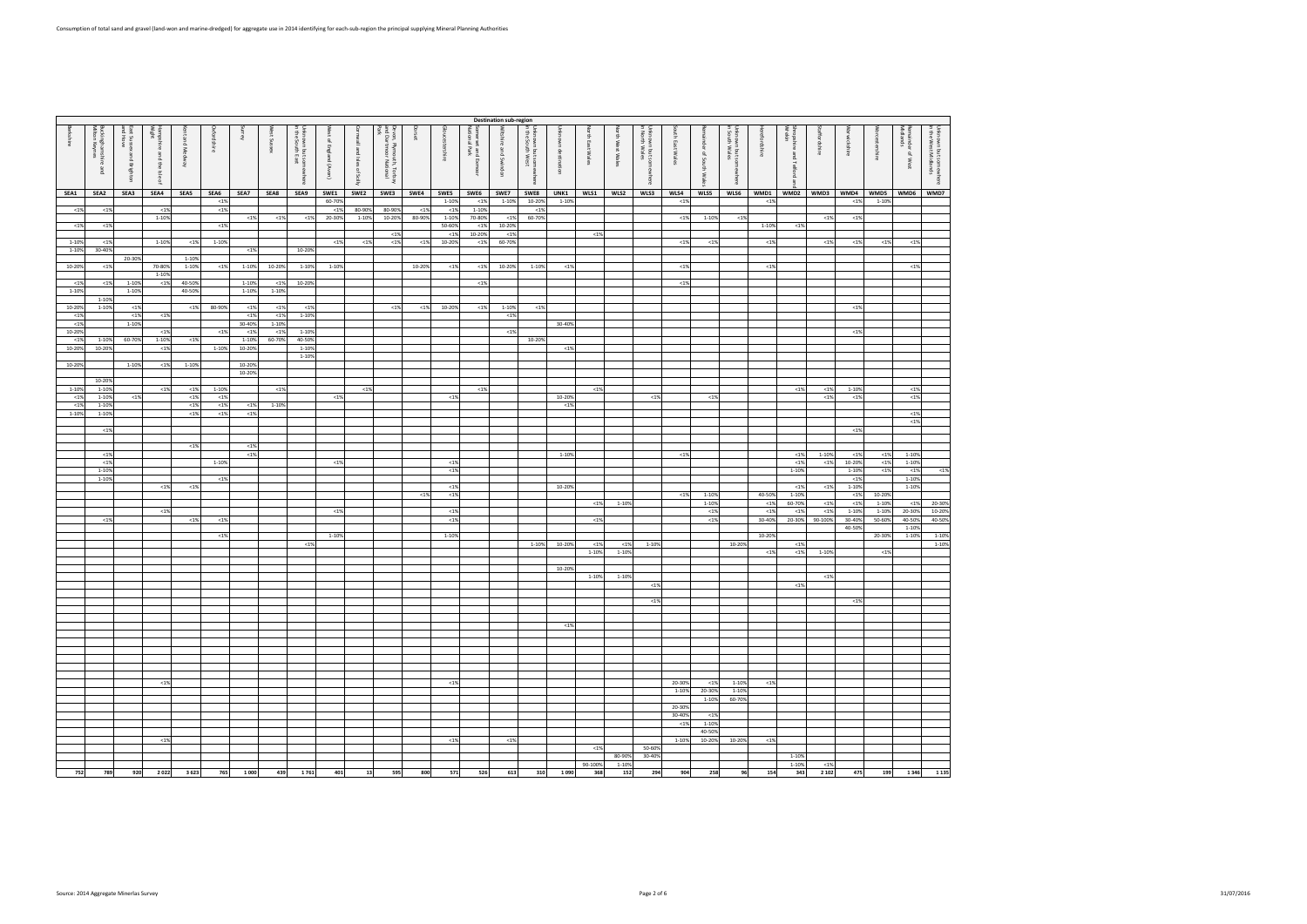|          | <b>Destination sub-region</b><br>Unknown but somewhere<br>in the South West<br>Unknown but som<br>in the South East<br>Wiltshire and Swindon<br>Unknown but somewhere<br>in South Wales<br>Somerset and Exmoor<br>National Park<br>Unknown but somewhere<br>in the West Midlands<br>Buckinghamshire:<br>Milton Keynes<br>Hampshire and the Isle of<br>Wight<br>Devon, Plymouth, Torbay<br>and Dartmoor National<br><b>Gloucestershire</b><br>Shropshire .<br>Wrekin<br><b><i>Norcestershire</i></b><br>Remainder of West<br>Midlands<br>Oxfordshire<br>West Sussex<br>West of England (Avon)<br>힆<br><b>North East Wales</b><br>porset<br>taffordshire<br>Varwickshire<br>nuse<br><b>Serkshire</b><br>East Sussex and Brighton<br>and Hove<br>ent and Medway<br>outh East Wales<br>nknown destination<br>ornwall and Isles of Scilly<br>Jnknown but sol<br>n North Wales<br>orth West Wales |        |           |        |          |         |              |           |          |         |         |        |          |           |          |        |         |          |           |        |          |                     |          |             |         |         |          |         |         |         |
|----------|---------------------------------------------------------------------------------------------------------------------------------------------------------------------------------------------------------------------------------------------------------------------------------------------------------------------------------------------------------------------------------------------------------------------------------------------------------------------------------------------------------------------------------------------------------------------------------------------------------------------------------------------------------------------------------------------------------------------------------------------------------------------------------------------------------------------------------------------------------------------------------------------|--------|-----------|--------|----------|---------|--------------|-----------|----------|---------|---------|--------|----------|-----------|----------|--------|---------|----------|-----------|--------|----------|---------------------|----------|-------------|---------|---------|----------|---------|---------|---------|
|          |                                                                                                                                                                                                                                                                                                                                                                                                                                                                                                                                                                                                                                                                                                                                                                                                                                                                                             |        |           |        |          |         |              |           |          |         |         |        |          |           |          |        |         |          |           |        |          |                     |          |             |         |         |          |         |         |         |
|          |                                                                                                                                                                                                                                                                                                                                                                                                                                                                                                                                                                                                                                                                                                                                                                                                                                                                                             |        |           |        |          |         |              |           |          |         |         |        |          |           |          |        |         |          |           |        |          |                     |          | refordshire |         |         |          |         |         |         |
|          |                                                                                                                                                                                                                                                                                                                                                                                                                                                                                                                                                                                                                                                                                                                                                                                                                                                                                             |        |           |        |          |         |              |           |          |         |         |        |          |           |          |        |         |          |           |        |          |                     |          |             |         |         |          |         |         |         |
|          |                                                                                                                                                                                                                                                                                                                                                                                                                                                                                                                                                                                                                                                                                                                                                                                                                                                                                             |        |           |        |          |         |              |           |          |         |         |        |          |           |          |        |         |          |           |        |          |                     |          |             |         |         |          |         |         |         |
|          |                                                                                                                                                                                                                                                                                                                                                                                                                                                                                                                                                                                                                                                                                                                                                                                                                                                                                             |        |           |        |          |         |              |           |          |         |         |        |          |           |          |        |         |          |           |        |          |                     |          |             | pue     |         |          |         |         |         |
|          |                                                                                                                                                                                                                                                                                                                                                                                                                                                                                                                                                                                                                                                                                                                                                                                                                                                                                             |        |           |        |          |         |              |           |          |         |         |        |          |           |          |        |         |          |           |        |          |                     |          |             |         |         |          |         |         |         |
|          | $\frac{1}{2}$                                                                                                                                                                                                                                                                                                                                                                                                                                                                                                                                                                                                                                                                                                                                                                                                                                                                               |        |           |        |          |         |              |           |          |         |         |        |          |           |          |        |         |          |           |        |          |                     |          |             |         |         |          |         |         |         |
|          |                                                                                                                                                                                                                                                                                                                                                                                                                                                                                                                                                                                                                                                                                                                                                                                                                                                                                             |        |           |        |          |         |              | ewhere    |          |         |         |        |          |           |          |        |         |          |           | Mµer   |          | ainder of South Wal |          |             | Telford |         |          |         |         |         |
|          |                                                                                                                                                                                                                                                                                                                                                                                                                                                                                                                                                                                                                                                                                                                                                                                                                                                                                             |        |           |        |          |         |              |           |          |         |         |        |          |           |          |        |         |          |           |        |          |                     |          |             |         |         |          |         |         |         |
|          |                                                                                                                                                                                                                                                                                                                                                                                                                                                                                                                                                                                                                                                                                                                                                                                                                                                                                             |        |           |        |          |         |              |           |          |         |         |        |          |           |          |        |         |          |           |        |          |                     |          |             |         |         |          |         |         |         |
| SEA1     | SEA2                                                                                                                                                                                                                                                                                                                                                                                                                                                                                                                                                                                                                                                                                                                                                                                                                                                                                        | SEA3   | SEA4      | SEA5   | SEA6     | SEA7    | SEA8         | SEA9      | SWE1     | SWE2    | SWE3    | SWE4   | SWE5     | SWE6      | SWE7     | SWE8   | UNK1    | WLS1     | WLS2      | WLS3   | WLS4     | WLS5                | WLS6     | WMD1        | WMD2    | WMD3    | WMD4     | WMD5    | WMD6    | WMD7    |
|          |                                                                                                                                                                                                                                                                                                                                                                                                                                                                                                                                                                                                                                                                                                                                                                                                                                                                                             |        |           |        | $<1\%$   |         |              |           | 60-70%   |         |         |        | 1-10%    | < 1%      | 1-10%    | 10-20% | 1-10%   |          |           |        | ${<}1\%$ |                     |          | < 1%        |         |         | ${<}1\%$ | 1-10%   |         |         |
| $< 1\%$  | < 1%                                                                                                                                                                                                                                                                                                                                                                                                                                                                                                                                                                                                                                                                                                                                                                                                                                                                                        |        | ${<}1\%$  |        | $<1\%$   |         |              |           | < 1%     | 80-90%  | 80-90%  | <1%    | ${<}1\%$ | $1 - 109$ |          | <1%    |         |          |           |        |          |                     |          |             |         |         |          |         |         |         |
|          |                                                                                                                                                                                                                                                                                                                                                                                                                                                                                                                                                                                                                                                                                                                                                                                                                                                                                             |        | 1-10%     |        |          | $< 1\%$ | < 1%         | < 1%      | 20-30%   | 1-10%   | 10-20%  | 80-90% | 1-10%    | 70-80%    | $< 1\%$  | 60-70% |         |          |           |        | $< 1\%$  | 1-10%               | ${<}1\%$ |             |         | $<1\%$  | $< 1\%$  |         |         |         |
| $< 1\%$  | $<1\%$                                                                                                                                                                                                                                                                                                                                                                                                                                                                                                                                                                                                                                                                                                                                                                                                                                                                                      |        |           |        | $<1\%$   |         |              |           |          |         |         |        | 50-60%   | $19$      | 10-20%   |        |         |          |           |        |          |                     |          | 1-10%       | $< 1\%$ |         |          |         |         |         |
|          |                                                                                                                                                                                                                                                                                                                                                                                                                                                                                                                                                                                                                                                                                                                                                                                                                                                                                             |        |           |        |          |         |              |           |          |         | < 1%    |        | $< 1\%$  | 10-209    | < 1%     |        |         | < 1%     |           |        |          |                     |          |             |         |         |          |         |         |         |
|          |                                                                                                                                                                                                                                                                                                                                                                                                                                                                                                                                                                                                                                                                                                                                                                                                                                                                                             |        |           |        |          |         |              |           |          |         |         |        |          |           |          |        |         |          |           |        |          |                     |          |             |         |         |          |         |         |         |
| 1-10%    | < 1%                                                                                                                                                                                                                                                                                                                                                                                                                                                                                                                                                                                                                                                                                                                                                                                                                                                                                        |        | 1-10%     | $<1\%$ | 1-10%    |         |              |           | $<1\%$   | < 1%    | $< 1\%$ | < 1%   | 10-20%   | $19$      | 60-70%   |        |         |          |           |        | $< 1\%$  | < 1%                |          | < 1%        |         | < 1%    | $< 1\%$  | $<1\%$  | $< 1\%$ |         |
| 1-10%    | 30-40%                                                                                                                                                                                                                                                                                                                                                                                                                                                                                                                                                                                                                                                                                                                                                                                                                                                                                      |        |           |        |          | < 1%    |              | 10-20%    |          |         |         |        |          |           |          |        |         |          |           |        |          |                     |          |             |         |         |          |         |         |         |
|          |                                                                                                                                                                                                                                                                                                                                                                                                                                                                                                                                                                                                                                                                                                                                                                                                                                                                                             | 20-30% |           | 1-10%  |          |         |              |           |          |         |         |        |          |           |          |        |         |          |           |        |          |                     |          |             |         |         |          |         |         |         |
| 10-20%   | $<1\%$                                                                                                                                                                                                                                                                                                                                                                                                                                                                                                                                                                                                                                                                                                                                                                                                                                                                                      |        | 70-80%    | 1-10%  | < 1%     | 1-10%   | 10-20%       | 1-10%     | 1-10%    |         |         | 10-20% | $<1\%$   | < 1%      | 10-20%   | 1-10%  | < 1%    |          |           |        | $<1\%$   |                     |          | < 1%        |         |         |          |         | $<1\%$  |         |
|          |                                                                                                                                                                                                                                                                                                                                                                                                                                                                                                                                                                                                                                                                                                                                                                                                                                                                                             |        | 1-10%     |        |          |         |              |           |          |         |         |        |          |           |          |        |         |          |           |        |          |                     |          |             |         |         |          |         |         |         |
| < 1%     | < 1%                                                                                                                                                                                                                                                                                                                                                                                                                                                                                                                                                                                                                                                                                                                                                                                                                                                                                        | 1-10%  | ${<}1\%$  | 40-50% |          | 1-10%   | < 1%         | 10-20%    |          |         |         |        |          | <1%       |          |        |         |          |           |        | $<1\%$   |                     |          |             |         |         |          |         |         |         |
| 1-10%    |                                                                                                                                                                                                                                                                                                                                                                                                                                                                                                                                                                                                                                                                                                                                                                                                                                                                                             | 1-10%  |           | 40-50% |          | 1-10%   | 1-10%        |           |          |         |         |        |          |           |          |        |         |          |           |        |          |                     |          |             |         |         |          |         |         |         |
|          |                                                                                                                                                                                                                                                                                                                                                                                                                                                                                                                                                                                                                                                                                                                                                                                                                                                                                             |        |           |        |          |         |              |           |          |         |         |        |          |           |          |        |         |          |           |        |          |                     |          |             |         |         |          |         |         |         |
|          | 1-10%                                                                                                                                                                                                                                                                                                                                                                                                                                                                                                                                                                                                                                                                                                                                                                                                                                                                                       |        |           |        |          |         |              |           |          |         |         |        |          |           |          |        |         |          |           |        |          |                     |          |             |         |         |          |         |         |         |
| 10-20%   | 1-10%                                                                                                                                                                                                                                                                                                                                                                                                                                                                                                                                                                                                                                                                                                                                                                                                                                                                                       | < 1%   |           | $<1\%$ | 80-90%   | <1%     | < 1%         | < 1%      |          |         | < 1%    | < 1%   | 10-20%   | $19$      | 1-10%    | < 1%   |         |          |           |        |          |                     |          |             |         |         | < 1%     |         |         |         |
| < 1%     |                                                                                                                                                                                                                                                                                                                                                                                                                                                                                                                                                                                                                                                                                                                                                                                                                                                                                             | <1%    | ${<}1\%$  |        |          | 1%      | < 1%         | $1 - 10%$ |          |         |         |        |          |           | ${<}1\%$ |        |         |          |           |        |          |                     |          |             |         |         |          |         |         |         |
| ${<}1\%$ |                                                                                                                                                                                                                                                                                                                                                                                                                                                                                                                                                                                                                                                                                                                                                                                                                                                                                             | 1-10%  |           |        |          | 30-40%  | 1-10%        |           |          |         |         |        |          |           |          |        | 30-40%  |          |           |        |          |                     |          |             |         |         |          |         |         |         |
| 10-20%   |                                                                                                                                                                                                                                                                                                                                                                                                                                                                                                                                                                                                                                                                                                                                                                                                                                                                                             |        | ${<}1\%$  |        | < 1%     | < 1%    | $\langle$ 19 | 1-10%     |          |         |         |        |          |           | $<1\%$   |        |         |          |           |        |          |                     |          |             |         |         | < 1%     |         |         |         |
| < 1%     | 1-10%                                                                                                                                                                                                                                                                                                                                                                                                                                                                                                                                                                                                                                                                                                                                                                                                                                                                                       | 60-70% | $1 - 10%$ | $<1\%$ |          | 1-10%   | 60-70%       | 40-50%    |          |         |         |        |          |           |          | 10-20% |         |          |           |        |          |                     |          |             |         |         |          |         |         |         |
| 10-20%   | 10-20%                                                                                                                                                                                                                                                                                                                                                                                                                                                                                                                                                                                                                                                                                                                                                                                                                                                                                      |        | $<1\%$    |        | 1-10%    | 10-20%  |              | 1-10%     |          |         |         |        |          |           |          |        | $<1\%$  |          |           |        |          |                     |          |             |         |         |          |         |         |         |
|          |                                                                                                                                                                                                                                                                                                                                                                                                                                                                                                                                                                                                                                                                                                                                                                                                                                                                                             |        |           |        |          |         |              | 1-10%     |          |         |         |        |          |           |          |        |         |          |           |        |          |                     |          |             |         |         |          |         |         |         |
| 10-20%   |                                                                                                                                                                                                                                                                                                                                                                                                                                                                                                                                                                                                                                                                                                                                                                                                                                                                                             | 1-10%  |           | 1-10%  |          | 10-20%  |              |           |          |         |         |        |          |           |          |        |         |          |           |        |          |                     |          |             |         |         |          |         |         |         |
|          |                                                                                                                                                                                                                                                                                                                                                                                                                                                                                                                                                                                                                                                                                                                                                                                                                                                                                             |        | ${<}1\%$  |        |          |         |              |           |          |         |         |        |          |           |          |        |         |          |           |        |          |                     |          |             |         |         |          |         |         |         |
|          |                                                                                                                                                                                                                                                                                                                                                                                                                                                                                                                                                                                                                                                                                                                                                                                                                                                                                             |        |           |        |          | 10-20%  |              |           |          |         |         |        |          |           |          |        |         |          |           |        |          |                     |          |             |         |         |          |         |         |         |
|          | 10-20%                                                                                                                                                                                                                                                                                                                                                                                                                                                                                                                                                                                                                                                                                                                                                                                                                                                                                      |        |           |        |          |         |              |           |          |         |         |        |          |           |          |        |         |          |           |        |          |                     |          |             |         |         |          |         |         |         |
| 1-10%    | 1-10%                                                                                                                                                                                                                                                                                                                                                                                                                                                                                                                                                                                                                                                                                                                                                                                                                                                                                       |        | < 1%      | $<1\%$ | 1-10%    |         | $< 1\%$      |           |          | $< 1\%$ |         |        |          | $<1\%$    |          |        |         | ${<}1\%$ |           |        |          |                     |          |             | <1%     | $< 1\%$ | 1-10%    |         | $<1\%$  |         |
| < 1%     | 1-10%                                                                                                                                                                                                                                                                                                                                                                                                                                                                                                                                                                                                                                                                                                                                                                                                                                                                                       | < 1%   |           | < 1%   | ${<}1\%$ |         |              |           | ${<}1\%$ |         |         |        | $< 1\%$  |           |          |        | 10-20%  |          |           | $<1\%$ |          | ${<}1\%$            |          |             |         | < 1%    | < 1%     |         | $<1\%$  |         |
| < 1%     | 1-10%                                                                                                                                                                                                                                                                                                                                                                                                                                                                                                                                                                                                                                                                                                                                                                                                                                                                                       |        |           | $<1\%$ | ${<}1\%$ | $< 1\%$ | 1-10%        |           |          |         |         |        |          |           |          |        | < 1%    |          |           |        |          |                     |          |             |         |         |          |         |         |         |
| 1-10%    | 1-10%                                                                                                                                                                                                                                                                                                                                                                                                                                                                                                                                                                                                                                                                                                                                                                                                                                                                                       |        |           | < 1%   | ${<}1\%$ | $<1\%$  |              |           |          |         |         |        |          |           |          |        |         |          |           |        |          |                     |          |             |         |         |          |         | $<1\%$  |         |
|          |                                                                                                                                                                                                                                                                                                                                                                                                                                                                                                                                                                                                                                                                                                                                                                                                                                                                                             |        |           |        |          |         |              |           |          |         |         |        |          |           |          |        |         |          |           |        |          |                     |          |             |         |         |          |         | $<1\%$  |         |
|          | < 1%                                                                                                                                                                                                                                                                                                                                                                                                                                                                                                                                                                                                                                                                                                                                                                                                                                                                                        |        |           |        |          |         |              |           |          |         |         |        |          |           |          |        |         |          |           |        |          |                     |          |             |         |         | $< 1\%$  |         |         |         |
|          |                                                                                                                                                                                                                                                                                                                                                                                                                                                                                                                                                                                                                                                                                                                                                                                                                                                                                             |        |           |        |          |         |              |           |          |         |         |        |          |           |          |        |         |          |           |        |          |                     |          |             |         |         |          |         |         |         |
|          |                                                                                                                                                                                                                                                                                                                                                                                                                                                                                                                                                                                                                                                                                                                                                                                                                                                                                             |        |           | $<1\%$ |          | $<1\%$  |              |           |          |         |         |        |          |           |          |        |         |          |           |        |          |                     |          |             |         |         |          |         |         |         |
|          | $< 1\%$                                                                                                                                                                                                                                                                                                                                                                                                                                                                                                                                                                                                                                                                                                                                                                                                                                                                                     |        |           |        |          | $<1\%$  |              |           |          |         |         |        |          |           |          |        | 1-10%   |          |           |        | $<1\%$   |                     |          |             | $<1\%$  | 1-10%   | < 1%     | $<1\%$  | 1-10%   |         |
|          |                                                                                                                                                                                                                                                                                                                                                                                                                                                                                                                                                                                                                                                                                                                                                                                                                                                                                             |        |           |        |          |         |              |           |          |         |         |        |          |           |          |        |         |          |           |        |          |                     |          |             |         |         |          | $< 1\%$ | 1-10%   |         |
|          | < 1%                                                                                                                                                                                                                                                                                                                                                                                                                                                                                                                                                                                                                                                                                                                                                                                                                                                                                        |        |           |        | 1-10%    |         |              |           | < 1%     |         |         |        | $< 1\%$  |           |          |        |         |          |           |        |          |                     |          |             | $< 1\%$ | < 1%    | 10-20%   |         |         |         |
|          | 1-10%                                                                                                                                                                                                                                                                                                                                                                                                                                                                                                                                                                                                                                                                                                                                                                                                                                                                                       |        |           |        |          |         |              |           |          |         |         |        | $< 1\%$  |           |          |        |         |          |           |        |          |                     |          |             | 1-10%   |         | 1-10%    | $< 1\%$ | <1%     | $< 1\%$ |
|          | 1-10%                                                                                                                                                                                                                                                                                                                                                                                                                                                                                                                                                                                                                                                                                                                                                                                                                                                                                       |        |           |        | $<1\%$   |         |              |           |          |         |         |        |          |           |          |        |         |          |           |        |          |                     |          |             |         |         | < 1%     |         | 1-10%   |         |
|          |                                                                                                                                                                                                                                                                                                                                                                                                                                                                                                                                                                                                                                                                                                                                                                                                                                                                                             |        | < 1%      | <1%    |          |         |              |           |          |         |         |        | <1%      |           |          |        | 10-20%  |          |           |        |          |                     |          |             | $< 1\%$ | $< 1\%$ | 1-10%    |         | 1-10%   |         |
|          |                                                                                                                                                                                                                                                                                                                                                                                                                                                                                                                                                                                                                                                                                                                                                                                                                                                                                             |        |           |        |          |         |              |           |          |         |         | < 1%   | $< 1\%$  |           |          |        |         |          |           |        | $<1\%$   | 1-10%               |          | 40-50%      | 1-10%   |         | < 1%     | 10-20%  |         |         |
|          |                                                                                                                                                                                                                                                                                                                                                                                                                                                                                                                                                                                                                                                                                                                                                                                                                                                                                             |        |           |        |          |         |              |           |          |         |         |        |          |           |          |        |         | $< 1\%$  | 1-10%     |        |          | 1-10%               |          | <1%         | 60-70%  | < 1%    | $<1\%$   | 1-10%   | < 1%    | 20-30%  |
|          |                                                                                                                                                                                                                                                                                                                                                                                                                                                                                                                                                                                                                                                                                                                                                                                                                                                                                             |        | $< 1\%$   |        |          |         |              |           | $<1\%$   |         |         |        | <1%      |           |          |        |         |          |           |        |          | $<1\%$              |          | $19$        | < 1%    | < 1%    | 1-10%    | 1-10%   | 20-30%  | 10-20%  |
|          | $<1\%$                                                                                                                                                                                                                                                                                                                                                                                                                                                                                                                                                                                                                                                                                                                                                                                                                                                                                      |        |           | <1%    | <1%      |         |              |           |          |         |         |        | <1%      |           |          |        |         | $< 1\%$  |           |        |          | $< 1\%$             |          | 30-40%      | 20-30%  | 90-100% | 30-409   | 50-60%  | 40-50%  | 40-50%  |
|          |                                                                                                                                                                                                                                                                                                                                                                                                                                                                                                                                                                                                                                                                                                                                                                                                                                                                                             |        |           |        |          |         |              |           |          |         |         |        |          |           |          |        |         |          |           |        |          |                     |          |             |         |         | 40-50%   |         | 1-10%   |         |
|          |                                                                                                                                                                                                                                                                                                                                                                                                                                                                                                                                                                                                                                                                                                                                                                                                                                                                                             |        |           |        | $<1\%$   |         |              |           | 1-10%    |         |         |        | 1-10%    |           |          |        |         |          |           |        |          |                     |          | 10-20%      |         |         |          | 20-30%  | 1-10%   | 1-10%   |
|          |                                                                                                                                                                                                                                                                                                                                                                                                                                                                                                                                                                                                                                                                                                                                                                                                                                                                                             |        |           |        |          |         |              | < 1%      |          |         |         |        |          |           |          | 1-10%  | 10-20%  | $< 1\%$  | $19$      | 1-10%  |          |                     | 10-209   |             | < 1%    |         |          |         |         | 1-10%   |
|          |                                                                                                                                                                                                                                                                                                                                                                                                                                                                                                                                                                                                                                                                                                                                                                                                                                                                                             |        |           |        |          |         |              |           |          |         |         |        |          |           |          |        |         | 1-10%    | $1 - 10%$ |        |          |                     |          | < 1%        | $<1\%$  | 1-10%   |          | < 1%    |         |         |
|          |                                                                                                                                                                                                                                                                                                                                                                                                                                                                                                                                                                                                                                                                                                                                                                                                                                                                                             |        |           |        |          |         |              |           |          |         |         |        |          |           |          |        |         |          |           |        |          |                     |          |             |         |         |          |         |         |         |
|          |                                                                                                                                                                                                                                                                                                                                                                                                                                                                                                                                                                                                                                                                                                                                                                                                                                                                                             |        |           |        |          |         |              |           |          |         |         |        |          |           |          |        |         |          |           |        |          |                     |          |             |         |         |          |         |         |         |
|          |                                                                                                                                                                                                                                                                                                                                                                                                                                                                                                                                                                                                                                                                                                                                                                                                                                                                                             |        |           |        |          |         |              |           |          |         |         |        |          |           |          |        | 10-20%  |          |           |        |          |                     |          |             |         |         |          |         |         |         |
|          |                                                                                                                                                                                                                                                                                                                                                                                                                                                                                                                                                                                                                                                                                                                                                                                                                                                                                             |        |           |        |          |         |              |           |          |         |         |        |          |           |          |        |         | 1-10%    | 1-10%     |        |          |                     |          |             |         | $<1\%$  |          |         |         |         |
|          |                                                                                                                                                                                                                                                                                                                                                                                                                                                                                                                                                                                                                                                                                                                                                                                                                                                                                             |        |           |        |          |         |              |           |          |         |         |        |          |           |          |        |         |          |           | < 1%   |          |                     |          |             | <1%     |         |          |         |         |         |
|          |                                                                                                                                                                                                                                                                                                                                                                                                                                                                                                                                                                                                                                                                                                                                                                                                                                                                                             |        |           |        |          |         |              |           |          |         |         |        |          |           |          |        |         |          |           |        |          |                     |          |             |         |         |          |         |         |         |
|          |                                                                                                                                                                                                                                                                                                                                                                                                                                                                                                                                                                                                                                                                                                                                                                                                                                                                                             |        |           |        |          |         |              |           |          |         |         |        |          |           |          |        |         |          |           | $<1\%$ |          |                     |          |             |         |         | < 1%     |         |         |         |
|          |                                                                                                                                                                                                                                                                                                                                                                                                                                                                                                                                                                                                                                                                                                                                                                                                                                                                                             |        |           |        |          |         |              |           |          |         |         |        |          |           |          |        |         |          |           |        |          |                     |          |             |         |         |          |         |         |         |
|          |                                                                                                                                                                                                                                                                                                                                                                                                                                                                                                                                                                                                                                                                                                                                                                                                                                                                                             |        |           |        |          |         |              |           |          |         |         |        |          |           |          |        |         |          |           |        |          |                     |          |             |         |         |          |         |         |         |
|          |                                                                                                                                                                                                                                                                                                                                                                                                                                                                                                                                                                                                                                                                                                                                                                                                                                                                                             |        |           |        |          |         |              |           |          |         |         |        |          |           |          |        | $< 1\%$ |          |           |        |          |                     |          |             |         |         |          |         |         |         |
|          |                                                                                                                                                                                                                                                                                                                                                                                                                                                                                                                                                                                                                                                                                                                                                                                                                                                                                             |        |           |        |          |         |              |           |          |         |         |        |          |           |          |        |         |          |           |        |          |                     |          |             |         |         |          |         |         |         |
|          |                                                                                                                                                                                                                                                                                                                                                                                                                                                                                                                                                                                                                                                                                                                                                                                                                                                                                             |        |           |        |          |         |              |           |          |         |         |        |          |           |          |        |         |          |           |        |          |                     |          |             |         |         |          |         |         |         |
|          |                                                                                                                                                                                                                                                                                                                                                                                                                                                                                                                                                                                                                                                                                                                                                                                                                                                                                             |        |           |        |          |         |              |           |          |         |         |        |          |           |          |        |         |          |           |        |          |                     |          |             |         |         |          |         |         |         |
|          |                                                                                                                                                                                                                                                                                                                                                                                                                                                                                                                                                                                                                                                                                                                                                                                                                                                                                             |        |           |        |          |         |              |           |          |         |         |        |          |           |          |        |         |          |           |        |          |                     |          |             |         |         |          |         |         |         |
|          |                                                                                                                                                                                                                                                                                                                                                                                                                                                                                                                                                                                                                                                                                                                                                                                                                                                                                             |        |           |        |          |         |              |           |          |         |         |        |          |           |          |        |         |          |           |        |          |                     |          |             |         |         |          |         |         |         |
|          |                                                                                                                                                                                                                                                                                                                                                                                                                                                                                                                                                                                                                                                                                                                                                                                                                                                                                             |        |           |        |          |         |              |           |          |         |         |        |          |           |          |        |         |          |           |        |          |                     |          |             |         |         |          |         |         |         |
|          |                                                                                                                                                                                                                                                                                                                                                                                                                                                                                                                                                                                                                                                                                                                                                                                                                                                                                             |        |           |        |          |         |              |           |          |         |         |        |          |           |          |        |         |          |           |        |          |                     |          |             |         |         |          |         |         |         |
|          |                                                                                                                                                                                                                                                                                                                                                                                                                                                                                                                                                                                                                                                                                                                                                                                                                                                                                             |        | < 1%      |        |          |         |              |           |          |         |         |        | < 1%     |           |          |        |         |          |           |        | 20-30%   | < 1%                | 1-10%    | < 1%        |         |         |          |         |         |         |
|          |                                                                                                                                                                                                                                                                                                                                                                                                                                                                                                                                                                                                                                                                                                                                                                                                                                                                                             |        |           |        |          |         |              |           |          |         |         |        |          |           |          |        |         |          |           |        | 1-10%    | 20-30%              | 1-10%    |             |         |         |          |         |         |         |
|          |                                                                                                                                                                                                                                                                                                                                                                                                                                                                                                                                                                                                                                                                                                                                                                                                                                                                                             |        |           |        |          |         |              |           |          |         |         |        |          |           |          |        |         |          |           |        |          | 1-10%               | 60-70%   |             |         |         |          |         |         |         |
|          |                                                                                                                                                                                                                                                                                                                                                                                                                                                                                                                                                                                                                                                                                                                                                                                                                                                                                             |        |           |        |          |         |              |           |          |         |         |        |          |           |          |        |         |          |           |        | 20-30%   |                     |          |             |         |         |          |         |         |         |
|          |                                                                                                                                                                                                                                                                                                                                                                                                                                                                                                                                                                                                                                                                                                                                                                                                                                                                                             |        |           |        |          |         |              |           |          |         |         |        |          |           |          |        |         |          |           |        | 30-40%   | < 1%                |          |             |         |         |          |         |         |         |
|          |                                                                                                                                                                                                                                                                                                                                                                                                                                                                                                                                                                                                                                                                                                                                                                                                                                                                                             |        |           |        |          |         |              |           |          |         |         |        |          |           |          |        |         |          |           |        | $<1\%$   | 1-10%               |          |             |         |         |          |         |         |         |
|          |                                                                                                                                                                                                                                                                                                                                                                                                                                                                                                                                                                                                                                                                                                                                                                                                                                                                                             |        |           |        |          |         |              |           |          |         |         |        |          |           |          |        |         |          |           |        |          | 40-50%              |          |             |         |         |          |         |         |         |
|          |                                                                                                                                                                                                                                                                                                                                                                                                                                                                                                                                                                                                                                                                                                                                                                                                                                                                                             |        | < 1%      |        |          |         |              |           |          |         |         |        | < 1%     |           | < 1%     |        |         |          |           |        | 1-10%    | 10-20%              | 10-20%   | < 1%        |         |         |          |         |         |         |
|          |                                                                                                                                                                                                                                                                                                                                                                                                                                                                                                                                                                                                                                                                                                                                                                                                                                                                                             |        |           |        |          |         |              |           |          |         |         |        |          |           |          |        |         |          |           |        |          |                     |          |             |         |         |          |         |         |         |
|          |                                                                                                                                                                                                                                                                                                                                                                                                                                                                                                                                                                                                                                                                                                                                                                                                                                                                                             |        |           |        |          |         |              |           |          |         |         |        |          |           |          |        |         | $< 1\%$  |           | 50-60% |          |                     |          |             |         |         |          |         |         |         |
|          |                                                                                                                                                                                                                                                                                                                                                                                                                                                                                                                                                                                                                                                                                                                                                                                                                                                                                             |        |           |        |          |         |              |           |          |         |         |        |          |           |          |        |         |          | 80-90%    | 30-40% |          |                     |          |             | 1-10%   |         |          |         |         |         |
|          |                                                                                                                                                                                                                                                                                                                                                                                                                                                                                                                                                                                                                                                                                                                                                                                                                                                                                             |        |           |        |          |         |              |           |          |         |         |        |          |           |          |        |         | 90-100%  | 1-10%     |        |          |                     |          |             | 1-10%   | $< 1\%$ |          |         |         |         |
| 752      | 789                                                                                                                                                                                                                                                                                                                                                                                                                                                                                                                                                                                                                                                                                                                                                                                                                                                                                         | 920    | 2022      | 3623   | 765      | 1 000   | 439          | 1761      | 401      | 13      | 595     | 800    | 571      | 526       | 613      | 310    | 1090    | 368      | 152       | 294    | 904      | 258                 | 96       | 154         | 343     | 2 1 0 2 | 475      | 199     | 1 3 4 6 | 1 1 3 5 |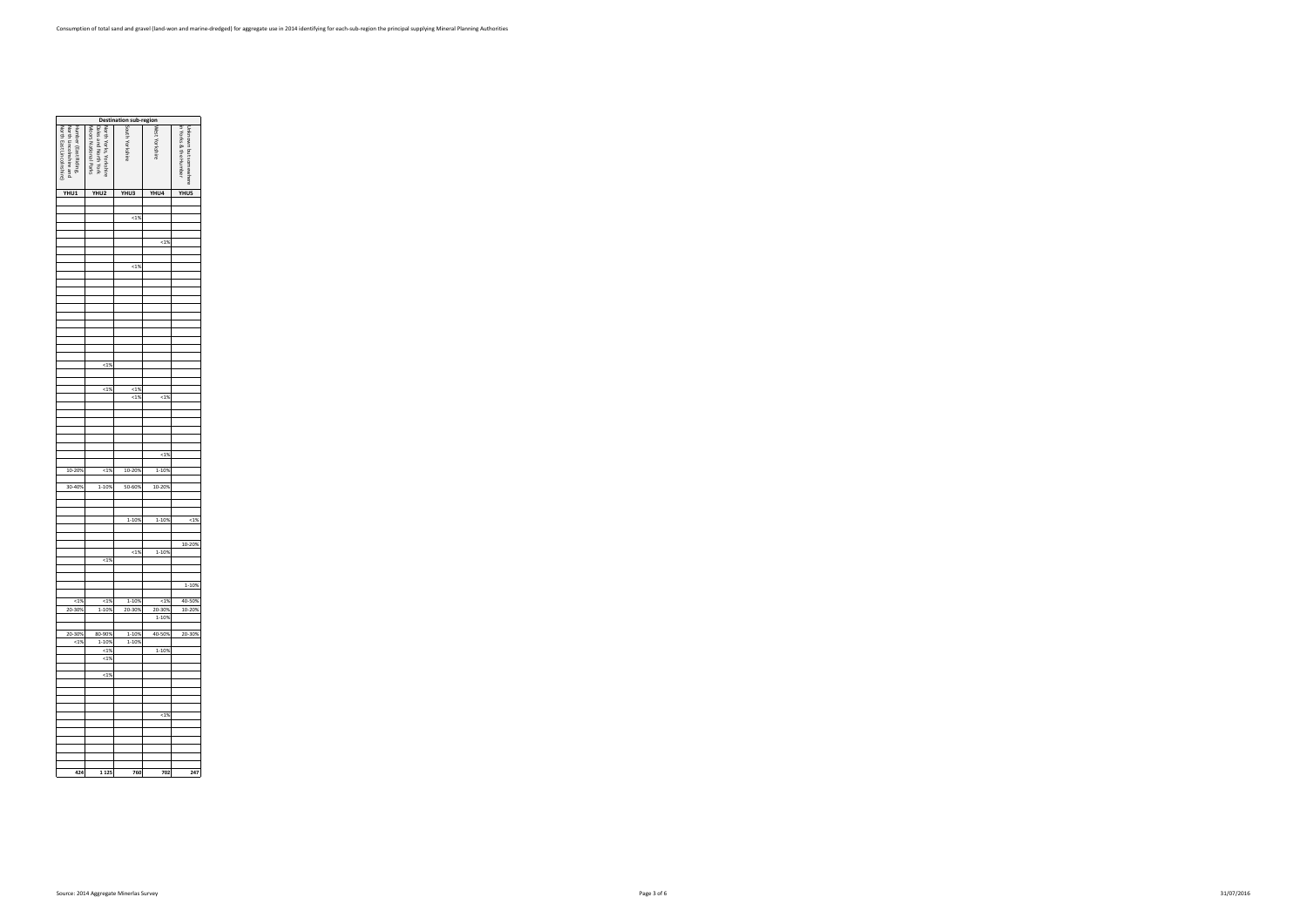| <b>Destination sub-region<br/> Second Script Script Script Script Script Script Script Script Script Script Script Script Script Script Script Script Script Script Script Script Script Script Script Script Script Script Script S</b> |                                                                        |                 |         |                                                |  |  |  |  |  |  |  |  |  |
|------------------------------------------------------------------------------------------------------------------------------------------------------------------------------------------------------------------------------------------|------------------------------------------------------------------------|-----------------|---------|------------------------------------------------|--|--|--|--|--|--|--|--|--|
| Humber (East Riding,<br>North East Lincolnshire)<br>North Lincolnshire and                                                                                                                                                               | Dales and North York<br>Moors National Parks<br>North Yorks, Yorkshire | South Yorkshire |         | in Yorks & the Humber<br>Unknown but somewhere |  |  |  |  |  |  |  |  |  |
| YHU1                                                                                                                                                                                                                                     | YHU2                                                                   | YHU3            | YHU4    | YHU5                                           |  |  |  |  |  |  |  |  |  |
|                                                                                                                                                                                                                                          |                                                                        |                 |         |                                                |  |  |  |  |  |  |  |  |  |
|                                                                                                                                                                                                                                          |                                                                        |                 |         |                                                |  |  |  |  |  |  |  |  |  |
|                                                                                                                                                                                                                                          |                                                                        | ${}^{<1\%}$     |         |                                                |  |  |  |  |  |  |  |  |  |
|                                                                                                                                                                                                                                          |                                                                        |                 |         |                                                |  |  |  |  |  |  |  |  |  |
|                                                                                                                                                                                                                                          |                                                                        |                 | 1%      |                                                |  |  |  |  |  |  |  |  |  |
|                                                                                                                                                                                                                                          |                                                                        |                 |         |                                                |  |  |  |  |  |  |  |  |  |
|                                                                                                                                                                                                                                          |                                                                        | 1%              |         |                                                |  |  |  |  |  |  |  |  |  |
|                                                                                                                                                                                                                                          |                                                                        |                 |         |                                                |  |  |  |  |  |  |  |  |  |
|                                                                                                                                                                                                                                          |                                                                        |                 |         |                                                |  |  |  |  |  |  |  |  |  |
|                                                                                                                                                                                                                                          |                                                                        |                 |         |                                                |  |  |  |  |  |  |  |  |  |
|                                                                                                                                                                                                                                          |                                                                        |                 |         |                                                |  |  |  |  |  |  |  |  |  |
|                                                                                                                                                                                                                                          |                                                                        |                 |         |                                                |  |  |  |  |  |  |  |  |  |
|                                                                                                                                                                                                                                          |                                                                        |                 |         |                                                |  |  |  |  |  |  |  |  |  |
|                                                                                                                                                                                                                                          |                                                                        |                 |         |                                                |  |  |  |  |  |  |  |  |  |
|                                                                                                                                                                                                                                          |                                                                        |                 |         |                                                |  |  |  |  |  |  |  |  |  |
|                                                                                                                                                                                                                                          | 1%                                                                     |                 |         |                                                |  |  |  |  |  |  |  |  |  |
|                                                                                                                                                                                                                                          |                                                                        |                 |         |                                                |  |  |  |  |  |  |  |  |  |
|                                                                                                                                                                                                                                          |                                                                        |                 |         |                                                |  |  |  |  |  |  |  |  |  |
|                                                                                                                                                                                                                                          | 1%                                                                     | 1%<br>1%        | 1%      |                                                |  |  |  |  |  |  |  |  |  |
|                                                                                                                                                                                                                                          |                                                                        |                 |         |                                                |  |  |  |  |  |  |  |  |  |
|                                                                                                                                                                                                                                          |                                                                        |                 |         |                                                |  |  |  |  |  |  |  |  |  |
|                                                                                                                                                                                                                                          |                                                                        |                 |         |                                                |  |  |  |  |  |  |  |  |  |
|                                                                                                                                                                                                                                          |                                                                        |                 |         |                                                |  |  |  |  |  |  |  |  |  |
|                                                                                                                                                                                                                                          |                                                                        |                 |         |                                                |  |  |  |  |  |  |  |  |  |
|                                                                                                                                                                                                                                          |                                                                        |                 | 1%      |                                                |  |  |  |  |  |  |  |  |  |
| 10-20%                                                                                                                                                                                                                                   | 1%                                                                     | 10-20%          | 1-10%   |                                                |  |  |  |  |  |  |  |  |  |
|                                                                                                                                                                                                                                          |                                                                        |                 |         |                                                |  |  |  |  |  |  |  |  |  |
| 30-40%                                                                                                                                                                                                                                   | 1-10%                                                                  | 50-60%          | 10-20%  |                                                |  |  |  |  |  |  |  |  |  |
|                                                                                                                                                                                                                                          |                                                                        |                 |         |                                                |  |  |  |  |  |  |  |  |  |
|                                                                                                                                                                                                                                          |                                                                        |                 |         |                                                |  |  |  |  |  |  |  |  |  |
|                                                                                                                                                                                                                                          |                                                                        | 1-10%           | 1-10%   | 1%                                             |  |  |  |  |  |  |  |  |  |
|                                                                                                                                                                                                                                          |                                                                        |                 |         |                                                |  |  |  |  |  |  |  |  |  |
|                                                                                                                                                                                                                                          |                                                                        |                 |         | 10-20%                                         |  |  |  |  |  |  |  |  |  |
|                                                                                                                                                                                                                                          | < 1%                                                                   | < 1%            | 1-10%   |                                                |  |  |  |  |  |  |  |  |  |
|                                                                                                                                                                                                                                          |                                                                        |                 |         |                                                |  |  |  |  |  |  |  |  |  |
|                                                                                                                                                                                                                                          |                                                                        |                 |         |                                                |  |  |  |  |  |  |  |  |  |
|                                                                                                                                                                                                                                          |                                                                        |                 |         | 1-10%                                          |  |  |  |  |  |  |  |  |  |
| < 1%                                                                                                                                                                                                                                     | 14%                                                                    | 1-10%           | $< 1\%$ | 40-50%                                         |  |  |  |  |  |  |  |  |  |
| 20-30%                                                                                                                                                                                                                                   | 1-10%                                                                  | 20-30%          | 20-30%  | 10-20%                                         |  |  |  |  |  |  |  |  |  |
|                                                                                                                                                                                                                                          |                                                                        |                 | 1-10%   |                                                |  |  |  |  |  |  |  |  |  |
| 20-30%                                                                                                                                                                                                                                   | 80-90%                                                                 | 1-10%           | 40-50%  | 20-30%                                         |  |  |  |  |  |  |  |  |  |
| 1%                                                                                                                                                                                                                                       | 1-10%                                                                  | 1-10%           |         |                                                |  |  |  |  |  |  |  |  |  |
|                                                                                                                                                                                                                                          | <1%<br><1%                                                             |                 | 1-10%   |                                                |  |  |  |  |  |  |  |  |  |
|                                                                                                                                                                                                                                          |                                                                        |                 |         |                                                |  |  |  |  |  |  |  |  |  |
|                                                                                                                                                                                                                                          | <1%                                                                    |                 |         |                                                |  |  |  |  |  |  |  |  |  |
|                                                                                                                                                                                                                                          |                                                                        |                 |         |                                                |  |  |  |  |  |  |  |  |  |
|                                                                                                                                                                                                                                          |                                                                        |                 |         |                                                |  |  |  |  |  |  |  |  |  |
|                                                                                                                                                                                                                                          |                                                                        |                 | $< 1\%$ |                                                |  |  |  |  |  |  |  |  |  |
|                                                                                                                                                                                                                                          |                                                                        |                 |         |                                                |  |  |  |  |  |  |  |  |  |
|                                                                                                                                                                                                                                          |                                                                        |                 |         |                                                |  |  |  |  |  |  |  |  |  |
|                                                                                                                                                                                                                                          |                                                                        |                 |         |                                                |  |  |  |  |  |  |  |  |  |
|                                                                                                                                                                                                                                          |                                                                        |                 |         |                                                |  |  |  |  |  |  |  |  |  |
|                                                                                                                                                                                                                                          |                                                                        |                 |         |                                                |  |  |  |  |  |  |  |  |  |
| 424                                                                                                                                                                                                                                      | 1 1 2 5                                                                | 760             | 702     | 247                                            |  |  |  |  |  |  |  |  |  |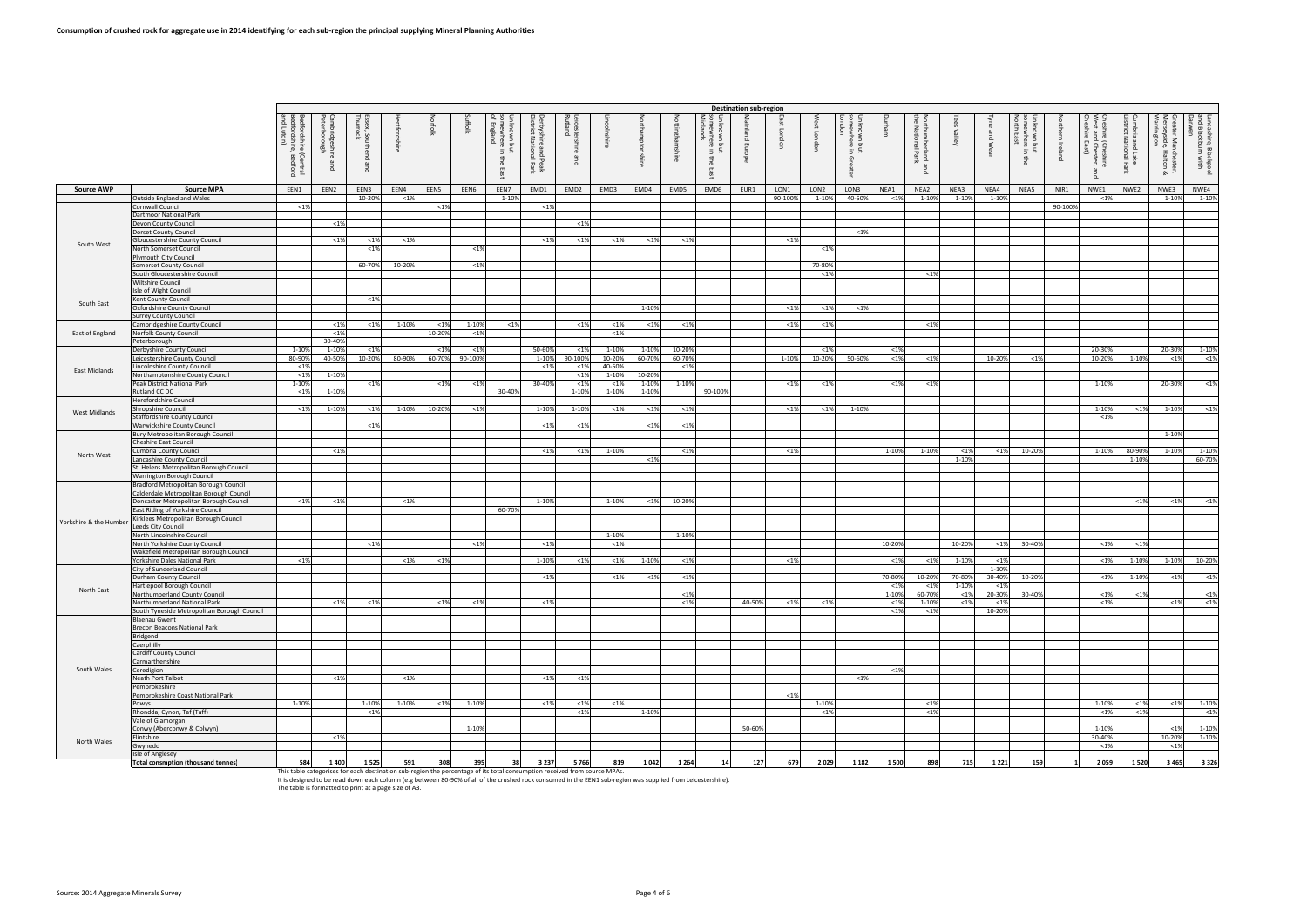|                        |                                                                                   |                                              |                       |                   |            |         |           |                                                                |                                                       |                                |                  |         |                |                                  | <b>Destination sub-region</b> |         |                  |                                                                             |               |                                              |                                  |                   |                                               |         |                                                                  |                                                 |                                                                        |                                                 |
|------------------------|-----------------------------------------------------------------------------------|----------------------------------------------|-----------------------|-------------------|------------|---------|-----------|----------------------------------------------------------------|-------------------------------------------------------|--------------------------------|------------------|---------|----------------|----------------------------------|-------------------------------|---------|------------------|-----------------------------------------------------------------------------|---------------|----------------------------------------------|----------------------------------|-------------------|-----------------------------------------------|---------|------------------------------------------------------------------|-------------------------------------------------|------------------------------------------------------------------------|-------------------------------------------------|
|                        |                                                                                   | edfordshire (Central<br>edfordshire, Bedford | idge<br>鸟<br>B<br>Due | ನೆ. ಕ<br>$\Omega$ | ttoi<br>ą2 | rfolk   |           | somewhere<br>of England<br>- 3<br>$\overline{5}$<br>au<br>East | erbyshire and P<br>istrict National<br>Peak<br>I Park | eicester<br>utland<br>高<br>pue | ᄛ                |         |                | ಕ<br>$\overline{5}$<br>₽<br>East | $\overline{a}$<br>罒           | gon     |                  | own<br>mhe<br>ഒ<br>$\sigma$<br>$\exists$<br>$\overline{\mathbb{O}}$<br>ater |               | 함 로<br>nber<br>Orial<br>rland<br>  Park<br>B | $\mathbb{I}^{\mathsf{all}}$<br>ূ | and Wear          | $\tilde{\mathbf{S}}$<br>$\sigma$<br>- 31<br>흉 | Ireland | Cheshire (Cheshire<br>West and Chester, a<br>Cheshire East)<br>ᇗ | nbria and Lake<br>trict National I<br>e<br>Park | ater Mar<br>rseyside,<br><sup>·rin</sup> gton<br>nchester,<br>Halton & | ncashire, Blackpool<br>d Blackburn with<br>rwen |
| <b>Source AWP</b>      | <b>Source MPA</b>                                                                 | EEN1                                         | EEN2                  | EEN3              | EEN4       | EEN5    | EEN6      | EEN7                                                           | EMD1                                                  | EMD <sub>2</sub>               | EMD3             | EMD4    | EMD5           | EMD6                             | EUR1                          | LON1    | LON <sub>2</sub> | LON3                                                                        | NEA1          | NEA2                                         | NEA3                             | NEA4              | NEA5                                          | NIR1    | NWE1                                                             | NWE2                                            | NWE3                                                                   | NWE4                                            |
|                        | Outside England and Wales                                                         |                                              |                       | 10-20%            | < 1%       |         |           | 1-10%                                                          |                                                       |                                |                  |         |                |                                  |                               | 90-100% | 1-10%            | 40-50%                                                                      | < 1%          | 1-10%                                        | 1-10%                            | 1-10%             |                                               |         | < 1%                                                             |                                                 | 1-10%                                                                  | 1-10%                                           |
|                        | Cornwall Council<br>Dartmoor National Park                                        | < 1%                                         |                       |                   |            | $< 1\%$ |           |                                                                | < 1%                                                  |                                |                  |         |                |                                  |                               |         |                  |                                                                             |               |                                              |                                  |                   |                                               | 90-100% |                                                                  |                                                 |                                                                        |                                                 |
|                        | Devon County Council                                                              |                                              | < 1%                  |                   |            |         |           |                                                                |                                                       | < 1%                           |                  |         |                |                                  |                               |         |                  |                                                                             |               |                                              |                                  |                   |                                               |         |                                                                  |                                                 |                                                                        |                                                 |
|                        | <b>Dorset County Council</b>                                                      |                                              |                       |                   |            |         |           |                                                                |                                                       |                                |                  |         |                |                                  |                               |         |                  | < 1%                                                                        |               |                                              |                                  |                   |                                               |         |                                                                  |                                                 |                                                                        |                                                 |
| South West             | Gloucestershire County Council                                                    |                                              | < 1%                  | < 1%              | < 1%       |         |           |                                                                | <19                                                   | < 1%                           | < 1%             | < 1%    | <1%            |                                  |                               | < 1%    |                  |                                                                             |               |                                              |                                  |                   |                                               |         |                                                                  |                                                 |                                                                        |                                                 |
|                        | North Somerset Council<br><b>Plymouth City Council</b>                            |                                              |                       | < 1%              |            |         | $< 1\%$   |                                                                |                                                       |                                |                  |         |                |                                  |                               |         | $1$              |                                                                             |               |                                              |                                  |                   |                                               |         |                                                                  |                                                 |                                                                        |                                                 |
|                        | Somerset County Council                                                           |                                              |                       | 60-70%            | 10-20%     |         | $< 1\%$   |                                                                |                                                       |                                |                  |         |                |                                  |                               |         | 70-80%           |                                                                             |               |                                              |                                  |                   |                                               |         |                                                                  |                                                 |                                                                        |                                                 |
|                        | South Gloucestershire Council                                                     |                                              |                       |                   |            |         |           |                                                                |                                                       |                                |                  |         |                |                                  |                               |         | < 1%             |                                                                             |               | < 1%                                         |                                  |                   |                                               |         |                                                                  |                                                 |                                                                        |                                                 |
|                        | Wiltshire Council<br>Isle of Wight Council                                        |                                              |                       |                   |            |         |           |                                                                |                                                       |                                |                  |         |                |                                  |                               |         |                  |                                                                             |               |                                              |                                  |                   |                                               |         |                                                                  |                                                 |                                                                        |                                                 |
|                        | Kent County Council                                                               |                                              |                       | < 1%              |            |         |           |                                                                |                                                       |                                |                  |         |                |                                  |                               |         |                  |                                                                             |               |                                              |                                  |                   |                                               |         |                                                                  |                                                 |                                                                        |                                                 |
| South East             | Oxfordshire County Council                                                        |                                              |                       |                   |            |         |           |                                                                |                                                       |                                |                  | 1-10%   |                |                                  |                               | $< 1\%$ | <1%              | < 1%                                                                        |               |                                              |                                  |                   |                                               |         |                                                                  |                                                 |                                                                        |                                                 |
|                        | <b>Surrey County Council</b><br>Cambridgeshire County Council                     |                                              | < 1%                  | < 1%              | 1-10%      | $< 1\%$ | $1 - 10%$ | <1%                                                            |                                                       | < 1%                           | < 1%             | < 1%    | < 1%           |                                  |                               | < 1%    | < 1%             |                                                                             |               | < 1%                                         |                                  |                   |                                               |         |                                                                  |                                                 |                                                                        |                                                 |
| East of England        | Norfolk County Council                                                            |                                              | < 1%                  |                   |            | 10-20%  | $< 1\%$   |                                                                |                                                       |                                | $< 1\%$          |         |                |                                  |                               |         |                  |                                                                             |               |                                              |                                  |                   |                                               |         |                                                                  |                                                 |                                                                        |                                                 |
|                        | Peterborough                                                                      |                                              | 30-40%                |                   |            |         |           |                                                                |                                                       |                                |                  |         |                |                                  |                               |         |                  |                                                                             |               |                                              |                                  |                   |                                               |         |                                                                  |                                                 |                                                                        |                                                 |
|                        | Derbyshire County Council                                                         | 1-109                                        | 1-10%                 | < 1%              |            | $< 1\%$ | < 1%      |                                                                | 50-60%                                                | < 1%                           | 1-10%            | 1-10%   | 10-20%         |                                  |                               |         | <1%              |                                                                             | < 1%          |                                              |                                  |                   |                                               |         | 20-30%                                                           |                                                 | 20-30%                                                                 | 1-10%                                           |
|                        | Leicestershire County Council<br>Lincolnshire County Council                      | 80-90%<br>< 1%                               | 40-50%                | 10-20%            | 80-90%     | 60-70%  | 90-100%   |                                                                | 1-109<br>$<$ 19                                       | 90-100%<br><19                 | 10-20%<br>40-50% | 60-70%  | 60-70%<br>$19$ |                                  |                               | 1-10%   | 10-20%           | 50-60%                                                                      | < 1%          | <1%                                          |                                  | 10-20%            | < 1%                                          |         | 10-20%                                                           | 1-10%                                           | < 1%                                                                   | $<$ 1%                                          |
| East Midlands          | Northamptonshire County Council                                                   | < 1%                                         | 1-10%                 |                   |            |         |           |                                                                |                                                       | < 1%                           | 1-10%            | 10-209  |                |                                  |                               |         |                  |                                                                             |               |                                              |                                  |                   |                                               |         |                                                                  |                                                 |                                                                        |                                                 |
|                        | Peak District National Park                                                       | 1-10%                                        |                       | < 1%              |            | $< 1\%$ | < 1%      |                                                                | 30-40%                                                | < 1%                           | <19              | 1-10%   | 1-10%          |                                  |                               | < 1%    | < 1%             |                                                                             | < 1%          | < 1%                                         |                                  |                   |                                               |         | 1-10%                                                            |                                                 | 20-30%                                                                 | < 1%                                            |
|                        | Rutland CC DC<br>Herefordshire Council                                            | $< 1\%$                                      | 1-10%                 |                   |            |         |           | 30-40%                                                         |                                                       | 1-10%                          | 1-10%            | 1-10%   |                | 90-100%                          |                               |         |                  |                                                                             |               |                                              |                                  |                   |                                               |         |                                                                  |                                                 |                                                                        |                                                 |
| West Midlands          | <b>Shropshire Council</b>                                                         | < 1%                                         | 1-10%                 | < 1%              | 1-10%      | 10-20%  | $< 1\%$   |                                                                | 1-10%                                                 | 1-10%                          | $< 1\%$          | $< 1\%$ | < 1%           |                                  |                               | $< 1\%$ | < 1%             | 1-109                                                                       |               |                                              |                                  |                   |                                               |         | 1-10%                                                            | $< 1\%$                                         | 1-10%                                                                  | < 1%                                            |
|                        | <b>Staffordshire County Council</b>                                               |                                              |                       |                   |            |         |           |                                                                |                                                       |                                |                  |         |                |                                  |                               |         |                  |                                                                             |               |                                              |                                  |                   |                                               |         | < 1%                                                             |                                                 |                                                                        |                                                 |
|                        | Warwickshire County Council<br>Bury Metropolitan Borough Council                  |                                              |                       | < 1%              |            |         |           |                                                                | $<$ 19                                                | < 1%                           |                  | < 1%    | < 1%           |                                  |                               |         |                  |                                                                             |               |                                              |                                  |                   |                                               |         |                                                                  |                                                 | 1-10%                                                                  |                                                 |
|                        | <b>Cheshire East Council</b>                                                      |                                              |                       |                   |            |         |           |                                                                |                                                       |                                |                  |         |                |                                  |                               |         |                  |                                                                             |               |                                              |                                  |                   |                                               |         |                                                                  |                                                 |                                                                        |                                                 |
| North West             | Cumbria County Council                                                            |                                              | < 1%                  |                   |            |         |           |                                                                | <1%                                                   | $< 1\%$                        | 1-10%            |         | $<$ 1%         |                                  |                               | $< 1\%$ |                  |                                                                             | 1-10%         | 1-10%                                        | $< 1\%$                          | $< 1\%$           | 10-20%                                        |         | 1-10%                                                            | 80-90%                                          | 1-10%                                                                  | 1-10%<br>60-70%                                 |
|                        | Lancashire County Council<br>St. Helens Metropolitan Borough Council              |                                              |                       |                   |            |         |           |                                                                |                                                       |                                |                  | < 1%    |                |                                  |                               |         |                  |                                                                             |               |                                              | 1-10%                            |                   |                                               |         |                                                                  | 1-10%                                           |                                                                        |                                                 |
|                        | Warrington Borough Council                                                        |                                              |                       |                   |            |         |           |                                                                |                                                       |                                |                  |         |                |                                  |                               |         |                  |                                                                             |               |                                              |                                  |                   |                                               |         |                                                                  |                                                 |                                                                        |                                                 |
|                        | Bradford Metropolitan Borough Council                                             |                                              |                       |                   |            |         |           |                                                                |                                                       |                                |                  |         |                |                                  |                               |         |                  |                                                                             |               |                                              |                                  |                   |                                               |         |                                                                  |                                                 |                                                                        |                                                 |
|                        | Calderdale Metropolitan Borough Council<br>Doncaster Metropolitan Borough Council | $< 1\%$                                      | < 1%                  |                   | <1%        |         |           |                                                                | 1-109                                                 |                                | 1-10%            | < 1%    | 10-20%         |                                  |                               |         |                  |                                                                             |               |                                              |                                  |                   |                                               |         |                                                                  | < 1%                                            | <1%                                                                    | < 1%                                            |
|                        | East Riding of Yorkshire Council                                                  |                                              |                       |                   |            |         |           | 60-70%                                                         |                                                       |                                |                  |         |                |                                  |                               |         |                  |                                                                             |               |                                              |                                  |                   |                                               |         |                                                                  |                                                 |                                                                        |                                                 |
| Yorkshire & the Humber | Kirklees Metropolitan Borough Council                                             |                                              |                       |                   |            |         |           |                                                                |                                                       |                                |                  |         |                |                                  |                               |         |                  |                                                                             |               |                                              |                                  |                   |                                               |         |                                                                  |                                                 |                                                                        |                                                 |
|                        | Leeds City Council<br>North Lincolnshire Council                                  |                                              |                       |                   |            |         |           |                                                                |                                                       |                                | 1-10%            |         | 1-10%          |                                  |                               |         |                  |                                                                             |               |                                              |                                  |                   |                                               |         |                                                                  |                                                 |                                                                        |                                                 |
|                        | North Yorkshire County Council                                                    |                                              |                       | < 1%              |            |         | $< 1\%$   |                                                                | < 1%                                                  |                                | < 1%             |         |                |                                  |                               |         |                  |                                                                             | 10-20%        |                                              | 10-20%                           | $< 1\%$           | 30-40%                                        |         | < 1%                                                             | < 1%                                            |                                                                        |                                                 |
|                        | Wakefield Metropolitan Borough Council<br>Yorkshire Dales National Park           | $< 1\%$                                      |                       |                   | < 1%       | $< 1\%$ |           |                                                                | $1 - 109$                                             |                                |                  | 1-10%   |                |                                  |                               |         |                  |                                                                             |               |                                              |                                  |                   |                                               |         |                                                                  |                                                 | 1-10%                                                                  | 10-20%                                          |
|                        | City of Sunderland Council                                                        |                                              |                       |                   |            |         |           |                                                                |                                                       | < 1%                           | < 1%             |         | < 1%           |                                  |                               | $< 1\%$ |                  |                                                                             | < 1%          | < 1%                                         | 1-10%                            | < 1%<br>1-10%     |                                               |         | < 1%                                                             | 1-10%                                           |                                                                        |                                                 |
|                        | Durham County Council                                                             |                                              |                       |                   |            |         |           |                                                                | $<$ 19                                                |                                | <1%              | < 1%    | < 1%           |                                  |                               |         |                  |                                                                             | 70-80%        | 10-20%                                       | 70-80%                           | 30-40%            | 10-20%                                        |         | < 1%                                                             | 1-10%                                           | <1%                                                                    | < 1%                                            |
| North East             | Hartlepool Borough Council<br>Northumberland County Council                       |                                              |                       |                   |            |         |           |                                                                |                                                       |                                |                  |         | < 1%           |                                  |                               |         |                  |                                                                             | < 1%<br>1-10% | < 1%<br>60-70%                               | 1-10%<br>$< 1\%$                 | $< 1\%$<br>20-30% | 30-40%                                        |         | < 1%                                                             | < 1%                                            |                                                                        | < 1%                                            |
|                        | Northumberland National Park                                                      |                                              | $< 1\%$               | $< 1\%$           |            | $< 1\%$ | $< 1\%$   |                                                                | < 1%                                                  |                                |                  |         | < 1%           |                                  | 40-50%                        | $< 1\%$ | $< 1\%$          |                                                                             | $< 1\%$       | 1-10%                                        | $< 1\%$                          | $< 1\%$           |                                               |         | < 1%                                                             |                                                 | $< 1\%$                                                                | $<$ 1%                                          |
|                        | South Tyneside Metropolitan Borough Council                                       |                                              |                       |                   |            |         |           |                                                                |                                                       |                                |                  |         |                |                                  |                               |         |                  |                                                                             | < 1%          | < 1%                                         |                                  | 10-20%            |                                               |         |                                                                  |                                                 |                                                                        |                                                 |
|                        | <b>Blaenau Gwent</b><br>Brecon Beacons National Park                              |                                              |                       |                   |            |         |           |                                                                |                                                       |                                |                  |         |                |                                  |                               |         |                  |                                                                             |               |                                              |                                  |                   |                                               |         |                                                                  |                                                 |                                                                        |                                                 |
|                        | Bridgend                                                                          |                                              |                       |                   |            |         |           |                                                                |                                                       |                                |                  |         |                |                                  |                               |         |                  |                                                                             |               |                                              |                                  |                   |                                               |         |                                                                  |                                                 |                                                                        |                                                 |
|                        | Caerphilly                                                                        |                                              |                       |                   |            |         |           |                                                                |                                                       |                                |                  |         |                |                                  |                               |         |                  |                                                                             |               |                                              |                                  |                   |                                               |         |                                                                  |                                                 |                                                                        |                                                 |
|                        | <b>Cardiff County Council</b><br>Carmarthenshire                                  |                                              |                       |                   |            |         |           |                                                                |                                                       |                                |                  |         |                |                                  |                               |         |                  |                                                                             |               |                                              |                                  |                   |                                               |         |                                                                  |                                                 |                                                                        |                                                 |
| South Wales            | Ceredigion                                                                        |                                              |                       |                   |            |         |           |                                                                |                                                       |                                |                  |         |                |                                  |                               |         |                  |                                                                             | $< 1\%$       |                                              |                                  |                   |                                               |         |                                                                  |                                                 |                                                                        |                                                 |
|                        | Neath Port Talbot                                                                 |                                              | < 1%                  |                   | < 1%       |         |           |                                                                | < 1%                                                  | $<$ 1%                         |                  |         |                |                                  |                               |         |                  | $< 1\%$                                                                     |               |                                              |                                  |                   |                                               |         |                                                                  |                                                 |                                                                        |                                                 |
|                        | Pembrokeshire<br>Pembrokeshire Coast National Park                                |                                              |                       |                   |            |         |           |                                                                |                                                       |                                |                  |         |                |                                  |                               | $< 1\%$ |                  |                                                                             |               |                                              |                                  |                   |                                               |         |                                                                  |                                                 |                                                                        |                                                 |
|                        | Powys                                                                             | 1-10%                                        |                       | 1-10%             | 1-10%      | $< 1\%$ | 1-10%     |                                                                | < 1%                                                  | < 1%                           | < 1%             |         |                |                                  |                               |         | 1-10%            |                                                                             |               | < 1%                                         |                                  |                   |                                               |         | 1-10%                                                            | < 1%                                            | $< 1\%$                                                                | 1-10%                                           |
|                        | Rhondda, Cynon, Taf (Taff)                                                        |                                              |                       | < 1%              |            |         |           |                                                                |                                                       | $< 1\%$                        |                  | 1-10%   |                |                                  |                               |         | <1%              |                                                                             |               | < 1%                                         |                                  |                   |                                               |         | <1%                                                              | < 1%                                            |                                                                        | < 1%                                            |
|                        | Vale of Glamorgan<br>Conwy (Aberconwy & Colwyn)                                   |                                              |                       |                   |            |         | 1-10%     |                                                                |                                                       |                                |                  |         |                |                                  | 50-60%                        |         |                  |                                                                             |               |                                              |                                  |                   |                                               |         | 1-10%                                                            |                                                 | $< 1\%$                                                                | 1-10%                                           |
| North Wales            | Flintshire                                                                        |                                              | < 1%                  |                   |            |         |           |                                                                |                                                       |                                |                  |         |                |                                  |                               |         |                  |                                                                             |               |                                              |                                  |                   |                                               |         | 30-40%                                                           |                                                 | 10-20%                                                                 | 1-10%                                           |
|                        | Gwynedd                                                                           |                                              |                       |                   |            |         |           |                                                                |                                                       |                                |                  |         |                |                                  |                               |         |                  |                                                                             |               |                                              |                                  |                   |                                               |         | < 1%                                                             |                                                 | < 1%                                                                   |                                                 |
|                        | Isle of Anglesey<br><b>Total consmption (thousand tonnes)</b>                     | 584                                          | 1400                  | 1525              | 591        | 308     | 395       | 38                                                             | 3 2 3 7                                               | 5766                           | 819              | 1042    | 1 2 6 4        | 14                               | 127                           | 679     | 2029             | 1 1 8 2                                                                     | 1 500         | 898                                          | 715                              | 1 2 2 1           | 159                                           | 1       | 2059                                                             | 1520                                            | 3465                                                                   | 3 3 2 6                                         |

1984 1400 1525 591 308 395 38 3237 5766 819 1042 1264 14 127 679 2029 1182 1500 898 715 1221 159 1 2059 1 2059 1520 3465 3326 716 16: designed to be read down each column (e.g between 80-90% of all of the crushed rock cons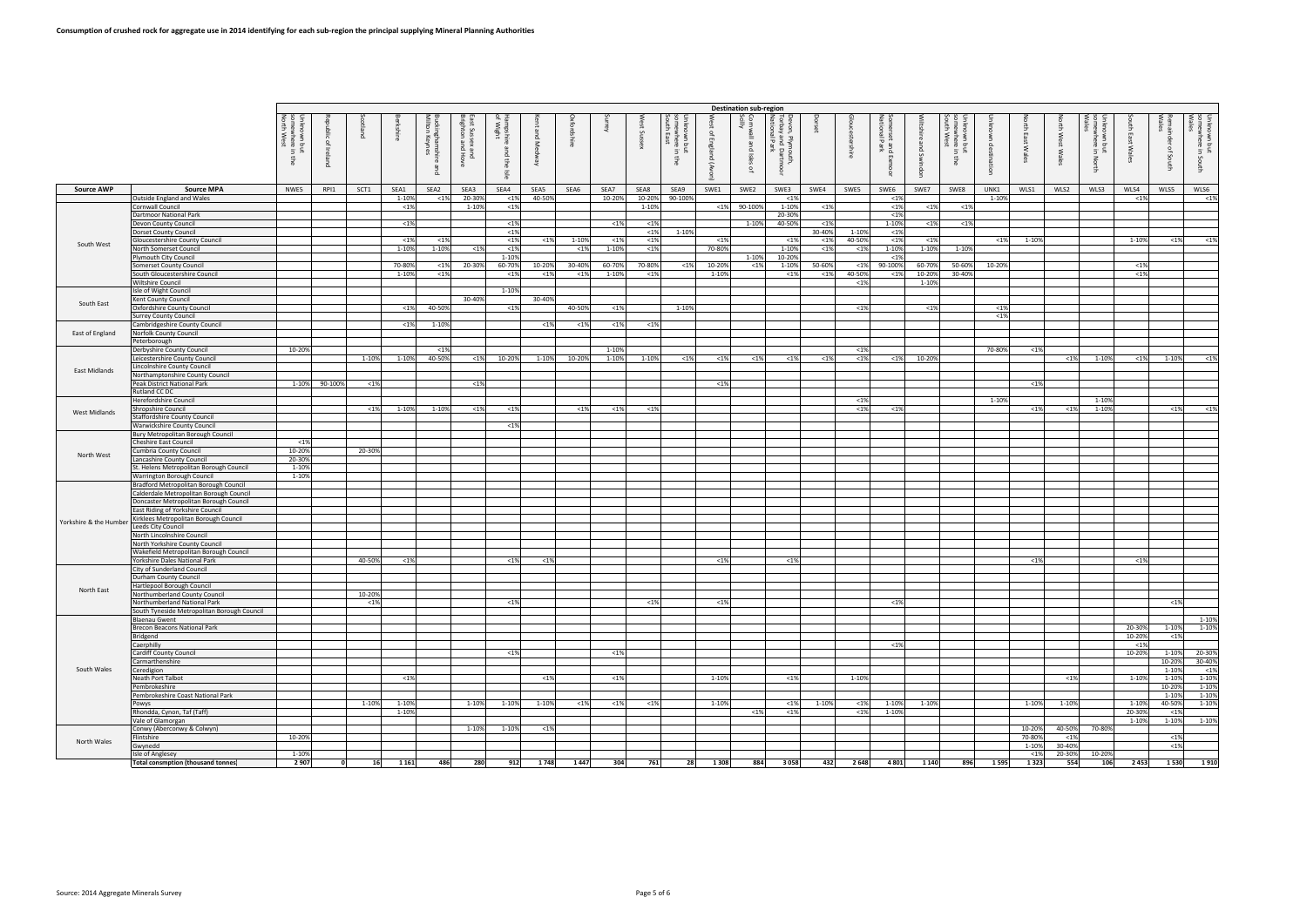|                        |                                                                                  |                                            |                                                                  |        |                 |                                 |                                                      |                                                |                |                |                 |                |                                                                   |                                  | <b>Destination sub-region</b> |                                                               |                |                   |                                        |                  |                                                                                          |                |                         |                  |                          |                    |                 |                                              |
|------------------------|----------------------------------------------------------------------------------|--------------------------------------------|------------------------------------------------------------------|--------|-----------------|---------------------------------|------------------------------------------------------|------------------------------------------------|----------------|----------------|-----------------|----------------|-------------------------------------------------------------------|----------------------------------|-------------------------------|---------------------------------------------------------------|----------------|-------------------|----------------------------------------|------------------|------------------------------------------------------------------------------------------|----------------|-------------------------|------------------|--------------------------|--------------------|-----------------|----------------------------------------------|
|                        |                                                                                  | own bi<br>where<br>West<br>but<br>gra<br>훟 | .ನ<br>$\Gamma$<br>$\overline{\overline{\mathbf{e}}}$<br>$\Omega$ | ᄘ      | 高               | ckinghamshi<br>İton Keynes<br>ᄘ | ist Suss<br>ighton<br>ë g<br>$\Omega$<br><b>Hove</b> | f Wir <sup>k</sup><br>ര്<br>$\Omega$<br>훟<br>흙 | and<br>$\leq$  | fordshire      | ூ               | š<br>Sussex    | 토 클<br><b>THOOM</b><br>:when<br>1 East<br>$\tilde{g}$<br>- 5<br>ŧ | ଽ<br>ă<br>ቧ<br>England<br>(uovA) | χ<br>ᄘ<br>Isles<br>$\Gamma$   | von, Plyrr<br>rbay and<br>tional Par<br>noutn<br>Dartn<br>਼ੁੱ |                |                   | rset and<br>nal Park<br>$\blacksquare$ | 高<br>த<br>ng Sv  | Unknown<br>)<br>그리<br>무료<br>where<br>I West<br>$\mathbf{H}$<br>$\equiv$<br>$\frac{4}{5}$ | desti<br>ation | <b>Jorth East Wales</b> | ge<br>West Wales | ή<br>but<br>put<br>North | ath East Wale      | 휴<br>of South   | Unknown but<br>somewhere in .<br>Wales<br>δS |
| <b>Source AWP</b>      | <b>Source MPA</b>                                                                | NWE5                                       | RPI1                                                             | SCT1   | SEA1            | SEA2                            | SEA3                                                 | SEA4                                           | SEA5           | SEA6           | SEA7            | SEA8           | SEA9                                                              | SWE1                             | SWE2                          | SWE3                                                          | SWE4           | SWE5              | SWE6                                   | SWE7             | SWE8                                                                                     | UNK1           | WLS1                    | WLS2             | WLS3                     | WLS4               | WLS5            | WLS6                                         |
|                        | Outside England and Wales                                                        |                                            |                                                                  |        | 1-10%           | $< 1\%$                         | 20-309                                               | < 1%                                           | 40-50%         |                | 10-209          | 10-20%         | 90-1009                                                           |                                  |                               | < 1%                                                          |                |                   | < 1%                                   |                  |                                                                                          | 1-10%          |                         |                  |                          | $< 1\%$            |                 | $<$ 1%                                       |
|                        | Cornwall Council<br><b>Dartmoor National Park</b>                                |                                            |                                                                  |        | < 1%            |                                 | 1-10%                                                | < 1%                                           |                |                |                 | 1-10%          |                                                                   | < 1%                             | 90-100%                       | 1-10%<br>20-30%                                               | <1%            |                   | < 1%<br>< 1%                           | < 1%             | < 1%                                                                                     |                |                         |                  |                          |                    |                 |                                              |
|                        | Devon County Council                                                             |                                            |                                                                  |        | $< 1\%$         |                                 |                                                      | < 1%                                           |                |                | < 1%            | < 1%           |                                                                   |                                  | 1-10%                         | 40-50%                                                        | $< 1\%$        |                   | 1-10%                                  | < 1%             | $< 1\%$                                                                                  |                |                         |                  |                          |                    |                 |                                              |
|                        | <b>Dorset County Council</b>                                                     |                                            |                                                                  |        | < 1%            | $< 1\%$                         |                                                      | < 1%<br>$< 1\%$                                | < 1%           | 1-10%          | < 1%            | < 1%<br>< 1%   | 1-10%                                                             | $< 1\%$                          |                               | < 1%                                                          | 30-40%<br>< 1% | 1-10%<br>40-50%   | < 1%<br>< 1%                           | < 1%             |                                                                                          | $< 1\%$        | 1-10%                   |                  |                          | 1-10%              | $< 1\%$         |                                              |
| South West             | <b>Gloucestershire County Council</b><br>North Somerset Council                  |                                            |                                                                  |        | 1-10%           | 1-10%                           | $< 1\%$                                              | < 1%                                           |                | < 1%           | 1-10%           | $< 1\%$        |                                                                   | 70-80%                           |                               | 1-10%                                                         | $< 1\%$        | $< 1\%$           | 1-10%                                  | 1-10%            | 1-10%                                                                                    |                |                         |                  |                          |                    |                 | $<$ 1%                                       |
|                        | Plymouth City Council                                                            |                                            |                                                                  |        |                 |                                 |                                                      | 1-10%                                          |                |                |                 |                |                                                                   |                                  | 1-10%                         | 10-20%                                                        |                |                   | < 1%                                   |                  |                                                                                          |                |                         |                  |                          |                    |                 |                                              |
|                        | <b>Somerset County Council</b><br>South Gloucestershire Council                  |                                            |                                                                  |        | 70-80%<br>1-10% | $< 1\%$<br>$< 1\%$              | 20-30%                                               | 60-70%<br>< 1%                                 | 10-209<br>< 19 | 30-40%<br>< 1% | 60-70%<br>1-10% | 70-80%<br>< 1% | < 1%                                                              | 10-20%<br>1-10%                  | $< 1\%$                       | 1-10%<br>$< 1\%$                                              | 50-60%<br>< 1% | $< 1\%$<br>40-50% | 90-100%<br>< 1%                        | 60-70%<br>10-20% | 50-60%<br>30-40%                                                                         | 10-20%         |                         |                  |                          | $< 1\%$<br>$< 1\%$ |                 |                                              |
|                        | <b>Wiltshire Council</b>                                                         |                                            |                                                                  |        |                 |                                 |                                                      |                                                |                |                |                 |                |                                                                   |                                  |                               |                                                               |                | < 1%              |                                        | 1-10%            |                                                                                          |                |                         |                  |                          |                    |                 |                                              |
|                        | Isle of Wight Council                                                            |                                            |                                                                  |        |                 |                                 |                                                      | 1-10%                                          |                |                |                 |                |                                                                   |                                  |                               |                                                               |                |                   |                                        |                  |                                                                                          |                |                         |                  |                          |                    |                 |                                              |
| South East             | Kent County Council<br>Oxfordshire County Council                                |                                            |                                                                  |        | $< 1\%$         | 40-50%                          | 30-40%                                               | $\overline{1\%}$                               | 30-40%         | 40-50%         | $< 1\%$         |                | 1-10%                                                             |                                  |                               |                                                               |                | < 1%              |                                        | < 1%             |                                                                                          | < 1%           |                         |                  |                          |                    |                 |                                              |
|                        | Surrey County Council                                                            |                                            |                                                                  |        |                 |                                 |                                                      |                                                |                |                |                 |                |                                                                   |                                  |                               |                                                               |                |                   |                                        |                  |                                                                                          | < 1%           |                         |                  |                          |                    |                 |                                              |
| East of England        | Cambridgeshire County Council<br>Norfolk County Council                          |                                            |                                                                  |        | < 1%            | 1-10%                           |                                                      |                                                | < 1%           | < 1%           | < 1%            | < 1%           |                                                                   |                                  |                               |                                                               |                |                   |                                        |                  |                                                                                          |                |                         |                  |                          |                    |                 |                                              |
|                        | Peterborough                                                                     |                                            |                                                                  |        |                 |                                 |                                                      |                                                |                |                |                 |                |                                                                   |                                  |                               |                                                               |                |                   |                                        |                  |                                                                                          |                |                         |                  |                          |                    |                 |                                              |
|                        | Derbyshire County Council                                                        | 10-20%                                     |                                                                  |        |                 | $< 1\%$                         |                                                      |                                                |                |                | 1-10%           |                |                                                                   |                                  |                               |                                                               |                | < 1%              |                                        |                  |                                                                                          | 70-80%         | < 1%                    |                  |                          |                    |                 |                                              |
|                        | Leicestershire County Council<br>incolnshire County Council.                     |                                            |                                                                  | 1-10%  | 1-10%           | 40-50%                          | $< 1\%$                                              | 10-20%                                         | 1-10%          | 10-20%         | 1-10%           | 1-10%          | <1%                                                               | $< 1\%$                          | <1%                           | $< 1\%$                                                       | $<$ 1%         | <1%               | $1\%$                                  | 10-20%           |                                                                                          |                |                         | < 1%             | 1-10%                    | $< 1\%$            | 1-10%           | $<$ 1%                                       |
| East Midlands          | Northamptonshire County Council                                                  |                                            |                                                                  |        |                 |                                 |                                                      |                                                |                |                |                 |                |                                                                   |                                  |                               |                                                               |                |                   |                                        |                  |                                                                                          |                |                         |                  |                          |                    |                 |                                              |
|                        | Peak District National Park                                                      | 1-10%                                      | 90-100%                                                          | < 1%   |                 |                                 | $< 1\%$                                              |                                                |                |                |                 |                |                                                                   | < 1%                             |                               |                                                               |                |                   |                                        |                  |                                                                                          |                | < 1%                    |                  |                          |                    |                 |                                              |
|                        | Rutland CC DC<br>Herefordshire Council                                           |                                            |                                                                  |        |                 |                                 |                                                      |                                                |                |                |                 |                |                                                                   |                                  |                               |                                                               |                | $< 1\%$           |                                        |                  |                                                                                          | 1-10%          |                         |                  | 1-10%                    |                    |                 |                                              |
| <b>West Midlands</b>   | Shropshire Council                                                               |                                            |                                                                  | < 1%   | 1-10%           | 1-10%                           | <1%                                                  | < 1%                                           |                | < 1%           | < 1%            | < 1%           |                                                                   |                                  |                               |                                                               |                | < 1%              | < 1%                                   |                  |                                                                                          |                | < 1%                    | < 1%             | 1-10%                    |                    | < 1%            | < 1%                                         |
|                        | Staffordshire County Council                                                     |                                            |                                                                  |        |                 |                                 |                                                      |                                                |                |                |                 |                |                                                                   |                                  |                               |                                                               |                |                   |                                        |                  |                                                                                          |                |                         |                  |                          |                    |                 |                                              |
|                        | Warwickshire County Council<br>Bury Metropolitan Borough Council                 |                                            |                                                                  |        |                 |                                 |                                                      | < 1%                                           |                |                |                 |                |                                                                   |                                  |                               |                                                               |                |                   |                                        |                  |                                                                                          |                |                         |                  |                          |                    |                 |                                              |
|                        | Cheshire East Council                                                            | < 1%                                       |                                                                  |        |                 |                                 |                                                      |                                                |                |                |                 |                |                                                                   |                                  |                               |                                                               |                |                   |                                        |                  |                                                                                          |                |                         |                  |                          |                    |                 |                                              |
| North West             | Cumbria County Council<br>ancashire County Council                               | 10-20%<br>20-30%                           |                                                                  | 20-30% |                 |                                 |                                                      |                                                |                |                |                 |                |                                                                   |                                  |                               |                                                               |                |                   |                                        |                  |                                                                                          |                |                         |                  |                          |                    |                 |                                              |
|                        | St. Helens Metropolitan Borough Council                                          | 1-10%                                      |                                                                  |        |                 |                                 |                                                      |                                                |                |                |                 |                |                                                                   |                                  |                               |                                                               |                |                   |                                        |                  |                                                                                          |                |                         |                  |                          |                    |                 |                                              |
|                        | Warrington Borough Council                                                       | 1-10%                                      |                                                                  |        |                 |                                 |                                                      |                                                |                |                |                 |                |                                                                   |                                  |                               |                                                               |                |                   |                                        |                  |                                                                                          |                |                         |                  |                          |                    |                 |                                              |
|                        | Bradford Metropolitan Borough Council<br>Calderdale Metropolitan Borough Council |                                            |                                                                  |        |                 |                                 |                                                      |                                                |                |                |                 |                |                                                                   |                                  |                               |                                                               |                |                   |                                        |                  |                                                                                          |                |                         |                  |                          |                    |                 |                                              |
|                        | Doncaster Metropolitan Borough Council                                           |                                            |                                                                  |        |                 |                                 |                                                      |                                                |                |                |                 |                |                                                                   |                                  |                               |                                                               |                |                   |                                        |                  |                                                                                          |                |                         |                  |                          |                    |                 |                                              |
|                        | East Riding of Yorkshire Council                                                 |                                            |                                                                  |        |                 |                                 |                                                      |                                                |                |                |                 |                |                                                                   |                                  |                               |                                                               |                |                   |                                        |                  |                                                                                          |                |                         |                  |                          |                    |                 |                                              |
| Yorkshire & the Humber | Kirklees Metropolitan Borough Council<br>Leeds City Council                      |                                            |                                                                  |        |                 |                                 |                                                      |                                                |                |                |                 |                |                                                                   |                                  |                               |                                                               |                |                   |                                        |                  |                                                                                          |                |                         |                  |                          |                    |                 |                                              |
|                        | North Lincolnshire Council                                                       |                                            |                                                                  |        |                 |                                 |                                                      |                                                |                |                |                 |                |                                                                   |                                  |                               |                                                               |                |                   |                                        |                  |                                                                                          |                |                         |                  |                          |                    |                 |                                              |
|                        | North Yorkshire County Council<br>Wakefield Metropolitan Borough Council         |                                            |                                                                  |        |                 |                                 |                                                      |                                                |                |                |                 |                |                                                                   |                                  |                               |                                                               |                |                   |                                        |                  |                                                                                          |                |                         |                  |                          |                    |                 |                                              |
|                        | Yorkshire Dales National Park                                                    |                                            |                                                                  | 40-50% | < 1%            |                                 |                                                      | < 1%                                           | $19$           |                |                 |                |                                                                   | < 1%                             |                               | $< 1\%$                                                       |                |                   |                                        |                  |                                                                                          |                | <1%                     |                  |                          | $< 1\%$            |                 |                                              |
|                        | City of Sunderland Council                                                       |                                            |                                                                  |        |                 |                                 |                                                      |                                                |                |                |                 |                |                                                                   |                                  |                               |                                                               |                |                   |                                        |                  |                                                                                          |                |                         |                  |                          |                    |                 |                                              |
|                        | Durham County Council<br>Hartlepool Borough Council                              |                                            |                                                                  |        |                 |                                 |                                                      |                                                |                |                |                 |                |                                                                   |                                  |                               |                                                               |                |                   |                                        |                  |                                                                                          |                |                         |                  |                          |                    |                 |                                              |
| North East             | Northumberland County Council                                                    |                                            |                                                                  | 10-20% |                 |                                 |                                                      |                                                |                |                |                 |                |                                                                   |                                  |                               |                                                               |                |                   |                                        |                  |                                                                                          |                |                         |                  |                          |                    |                 |                                              |
|                        | Northumberland National Park                                                     |                                            |                                                                  | < 1%   |                 |                                 |                                                      | $< 1\%$                                        |                |                |                 | < 1%           |                                                                   | < 1%                             |                               |                                                               |                |                   | < 1%                                   |                  |                                                                                          |                |                         |                  |                          |                    | $< 1\%$         |                                              |
|                        | South Tyneside Metropolitan Borough Council<br><b>Blaenau Gwent</b>              |                                            |                                                                  |        |                 |                                 |                                                      |                                                |                |                |                 |                |                                                                   |                                  |                               |                                                               |                |                   |                                        |                  |                                                                                          |                |                         |                  |                          |                    |                 | 1-10%                                        |
|                        | Brecon Beacons National Park                                                     |                                            |                                                                  |        |                 |                                 |                                                      |                                                |                |                |                 |                |                                                                   |                                  |                               |                                                               |                |                   |                                        |                  |                                                                                          |                |                         |                  |                          | 20-30%             | 1-10%           | 1-10%                                        |
|                        | Bridgend<br>Caerphilly                                                           |                                            |                                                                  |        |                 |                                 |                                                      |                                                |                |                |                 |                |                                                                   |                                  |                               |                                                               |                |                   | < 1%                                   |                  |                                                                                          |                |                         |                  |                          | 10-20%<br>$< 1\%$  | $< 1\%$         |                                              |
|                        | <b>Cardiff County Council</b>                                                    |                                            |                                                                  |        |                 |                                 |                                                      | < 1%                                           |                |                | < 1%            |                |                                                                   |                                  |                               |                                                               |                |                   |                                        |                  |                                                                                          |                |                         |                  |                          | 10-20%             |                 | 1-10% 20-30%                                 |
|                        | Carmarthenshire                                                                  |                                            |                                                                  |        |                 |                                 |                                                      |                                                |                |                |                 |                |                                                                   |                                  |                               |                                                               |                |                   |                                        |                  |                                                                                          |                |                         |                  |                          |                    | 10-20%          | 30-40%                                       |
| South Wales            | Ceredigion<br>Neath Port Talbot                                                  |                                            |                                                                  |        | < 1%            |                                 |                                                      |                                                | < 1%           |                | < 1%            |                |                                                                   | 1-10%                            |                               | $< 1\%$                                                       |                | 1-10%             |                                        |                  |                                                                                          |                |                         | < 1%             |                          | 1-10%              | 1-10%<br>1-10%  | $<$ 1%<br>1-10%                              |
|                        | Pembrokeshire                                                                    |                                            |                                                                  |        |                 |                                 |                                                      |                                                |                |                |                 |                |                                                                   |                                  |                               |                                                               |                |                   |                                        |                  |                                                                                          |                |                         |                  |                          |                    | 10-20%          | 1-10%                                        |
|                        | Pembrokeshire Coast National Park<br>Powys                                       |                                            |                                                                  | 1-10%  | 1-10%           |                                 | 1-10%                                                | 1-10%                                          | 1-10%          | < 1%           | < 1%            | < 1%           |                                                                   | 1-10%                            |                               | $< 1\%$                                                       | 1-10%          | $< 1\%$           | 1-10%                                  | 1-10%            |                                                                                          |                | 1-10%                   | 1-10%            |                          | 1-10%              | 1-10%<br>40-50% | 1-10%<br>1-10%                               |
|                        | Rhondda, Cynon, Taf (Taff)                                                       |                                            |                                                                  |        | 1-10%           |                                 |                                                      |                                                |                |                |                 |                |                                                                   |                                  | < 1%                          | $< 1\%$                                                       |                | < 1%              | 1-10%                                  |                  |                                                                                          |                |                         |                  |                          | 20-30%             | < 1%            |                                              |
|                        | Vale of Glamorgan                                                                |                                            |                                                                  |        |                 |                                 |                                                      |                                                |                |                |                 |                |                                                                   |                                  |                               |                                                               |                |                   |                                        |                  |                                                                                          |                |                         |                  |                          | 1-10%              | 1-10%           | $1 - 10%$                                    |
|                        | Conwy (Aberconwy & Colwyn)<br>Flintshire                                         | 10-20%                                     |                                                                  |        |                 |                                 | 1-10%                                                | 1-10%                                          | < 1%           |                |                 |                |                                                                   |                                  |                               |                                                               |                |                   |                                        |                  |                                                                                          |                | 10-20%<br>70-80%        | 40-50%<br>< 1%   | 70-80%                   |                    | $< 1\%$         |                                              |
| North Wales            | Gwynedd                                                                          |                                            |                                                                  |        |                 |                                 |                                                      |                                                |                |                |                 |                |                                                                   |                                  |                               |                                                               |                |                   |                                        |                  |                                                                                          |                | 1-10%                   | 30-40%           |                          |                    | <1%             |                                              |
|                        | Isle of Anglesey                                                                 | 1-10%                                      |                                                                  |        |                 |                                 |                                                      |                                                |                |                |                 |                |                                                                   |                                  |                               |                                                               |                |                   |                                        |                  |                                                                                          |                | < 1%                    | 20-30%           | 10-20%                   |                    |                 |                                              |
|                        | Total consmption (thousand tonnes)                                               | 2 9 0 7                                    | 0                                                                | 16     | 1 1 6 1         | 486                             | 280                                                  | 912                                            | 1748           | 1447           | 304             | 761            | 28                                                                | 1 3 0 8                          | 884                           | 3058                                                          | 432            | 2648              | 4 8 0 1                                | 1 1 4 0          | 896                                                                                      | 1595           | 1323                    | 554              | 106                      | 2 4 5 3            |                 | 1 5 30 1 9 10                                |